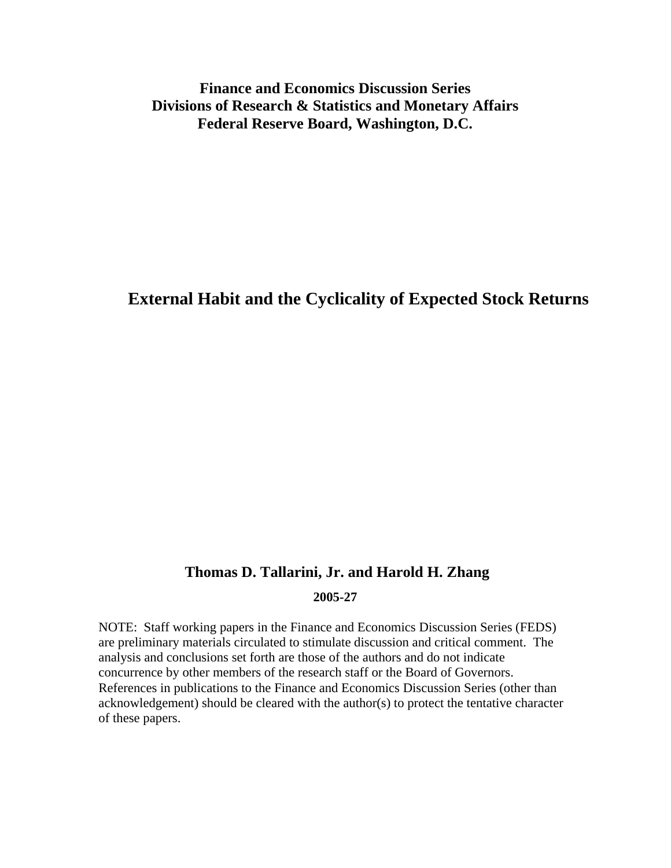### **Finance and Economics Discussion Series Divisions of Research & Statistics and Monetary Affairs Federal Reserve Board, Washington, D.C.**

# **External Habit and the Cyclicality of Expected Stock Returns**

### **Thomas D. Tallarini, Jr. and Harold H. Zhang**

#### **2005-27**

NOTE: Staff working papers in the Finance and Economics Discussion Series (FEDS) are preliminary materials circulated to stimulate discussion and critical comment. The analysis and conclusions set forth are those of the authors and do not indicate concurrence by other members of the research staff or the Board of Governors. References in publications to the Finance and Economics Discussion Series (other than acknowledgement) should be cleared with the author(s) to protect the tentative character of these papers.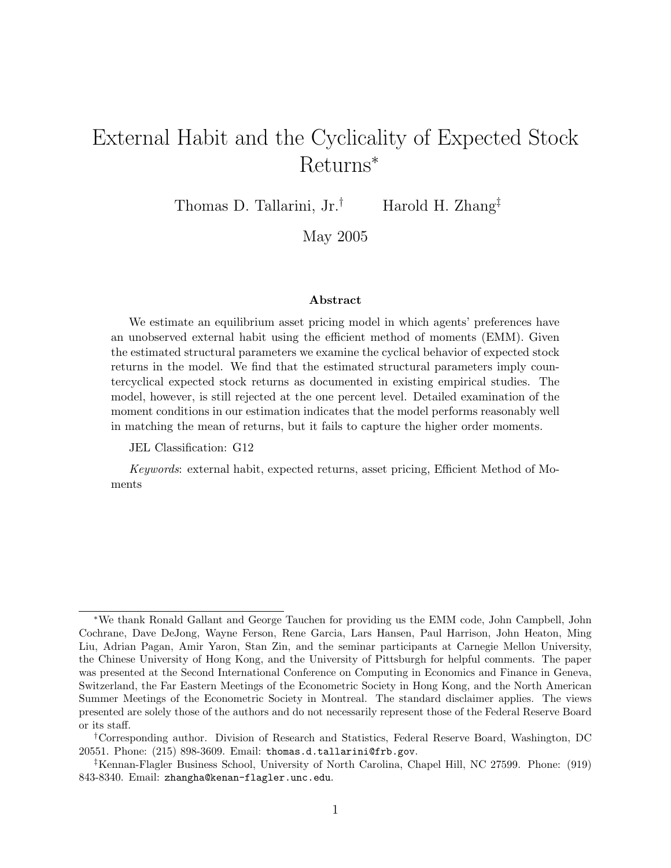# External Habit and the Cyclicality of Expected Stock Returns<sup>∗</sup>

Thomas D. Tallarini, Jr.<sup>†</sup> Harold H. Zhang<sup>‡</sup>

May 2005

#### Abstract

We estimate an equilibrium asset pricing model in which agents' preferences have an unobserved external habit using the efficient method of moments (EMM). Given the estimated structural parameters we examine the cyclical behavior of expected stock returns in the model. We find that the estimated structural parameters imply countercyclical expected stock returns as documented in existing empirical studies. The model, however, is still rejected at the one percent level. Detailed examination of the moment conditions in our estimation indicates that the model performs reasonably well in matching the mean of returns, but it fails to capture the higher order moments.

JEL Classification: G12

Keywords: external habit, expected returns, asset pricing, Efficient Method of Moments

<sup>∗</sup>We thank Ronald Gallant and George Tauchen for providing us the EMM code, John Campbell, John Cochrane, Dave DeJong, Wayne Ferson, Rene Garcia, Lars Hansen, Paul Harrison, John Heaton, Ming Liu, Adrian Pagan, Amir Yaron, Stan Zin, and the seminar participants at Carnegie Mellon University, the Chinese University of Hong Kong, and the University of Pittsburgh for helpful comments. The paper was presented at the Second International Conference on Computing in Economics and Finance in Geneva, Switzerland, the Far Eastern Meetings of the Econometric Society in Hong Kong, and the North American Summer Meetings of the Econometric Society in Montreal. The standard disclaimer applies. The views presented are solely those of the authors and do not necessarily represent those of the Federal Reserve Board or its staff.

<sup>†</sup>Corresponding author. Division of Research and Statistics, Federal Reserve Board, Washington, DC 20551. Phone: (215) 898-3609. Email: thomas.d.tallarini@frb.gov.

<sup>‡</sup>Kennan-Flagler Business School, University of North Carolina, Chapel Hill, NC 27599. Phone: (919) 843-8340. Email: zhangha@kenan-flagler.unc.edu.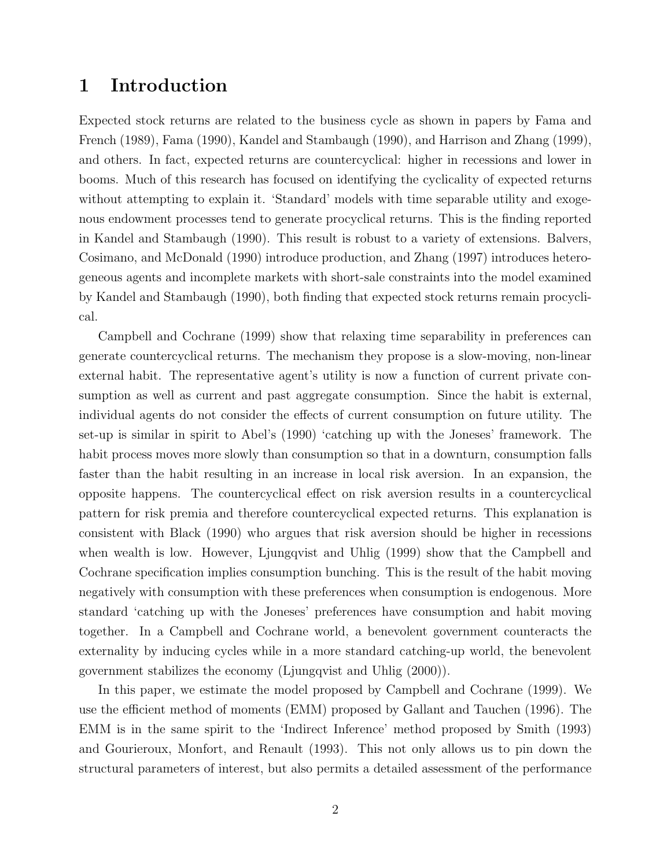### 1 Introduction

Expected stock returns are related to the business cycle as shown in papers by Fama and French (1989), Fama (1990), Kandel and Stambaugh (1990), and Harrison and Zhang (1999), and others. In fact, expected returns are countercyclical: higher in recessions and lower in booms. Much of this research has focused on identifying the cyclicality of expected returns without attempting to explain it. 'Standard' models with time separable utility and exogenous endowment processes tend to generate procyclical returns. This is the finding reported in Kandel and Stambaugh (1990). This result is robust to a variety of extensions. Balvers, Cosimano, and McDonald (1990) introduce production, and Zhang (1997) introduces heterogeneous agents and incomplete markets with short-sale constraints into the model examined by Kandel and Stambaugh (1990), both finding that expected stock returns remain procyclical.

Campbell and Cochrane (1999) show that relaxing time separability in preferences can generate countercyclical returns. The mechanism they propose is a slow-moving, non-linear external habit. The representative agent's utility is now a function of current private consumption as well as current and past aggregate consumption. Since the habit is external, individual agents do not consider the effects of current consumption on future utility. The set-up is similar in spirit to Abel's (1990) 'catching up with the Joneses' framework. The habit process moves more slowly than consumption so that in a downturn, consumption falls faster than the habit resulting in an increase in local risk aversion. In an expansion, the opposite happens. The countercyclical effect on risk aversion results in a countercyclical pattern for risk premia and therefore countercyclical expected returns. This explanation is consistent with Black (1990) who argues that risk aversion should be higher in recessions when wealth is low. However, Ljungqvist and Uhlig (1999) show that the Campbell and Cochrane specification implies consumption bunching. This is the result of the habit moving negatively with consumption with these preferences when consumption is endogenous. More standard 'catching up with the Joneses' preferences have consumption and habit moving together. In a Campbell and Cochrane world, a benevolent government counteracts the externality by inducing cycles while in a more standard catching-up world, the benevolent government stabilizes the economy (Ljungqvist and Uhlig (2000)).

In this paper, we estimate the model proposed by Campbell and Cochrane (1999). We use the efficient method of moments (EMM) proposed by Gallant and Tauchen (1996). The EMM is in the same spirit to the 'Indirect Inference' method proposed by Smith (1993) and Gourieroux, Monfort, and Renault (1993). This not only allows us to pin down the structural parameters of interest, but also permits a detailed assessment of the performance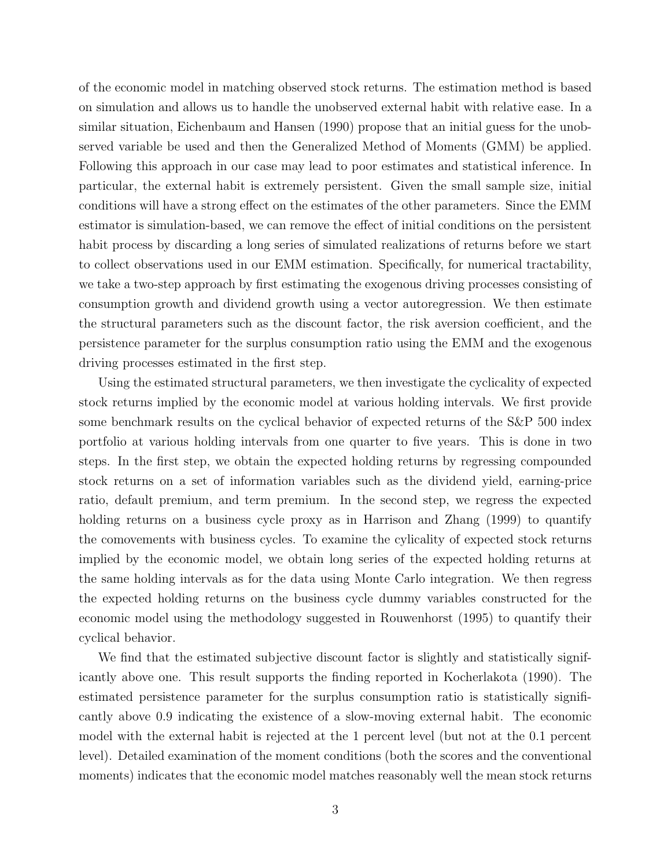of the economic model in matching observed stock returns. The estimation method is based on simulation and allows us to handle the unobserved external habit with relative ease. In a similar situation, Eichenbaum and Hansen (1990) propose that an initial guess for the unobserved variable be used and then the Generalized Method of Moments (GMM) be applied. Following this approach in our case may lead to poor estimates and statistical inference. In particular, the external habit is extremely persistent. Given the small sample size, initial conditions will have a strong effect on the estimates of the other parameters. Since the EMM estimator is simulation-based, we can remove the effect of initial conditions on the persistent habit process by discarding a long series of simulated realizations of returns before we start to collect observations used in our EMM estimation. Specifically, for numerical tractability, we take a two-step approach by first estimating the exogenous driving processes consisting of consumption growth and dividend growth using a vector autoregression. We then estimate the structural parameters such as the discount factor, the risk aversion coefficient, and the persistence parameter for the surplus consumption ratio using the EMM and the exogenous driving processes estimated in the first step.

Using the estimated structural parameters, we then investigate the cyclicality of expected stock returns implied by the economic model at various holding intervals. We first provide some benchmark results on the cyclical behavior of expected returns of the S&P 500 index portfolio at various holding intervals from one quarter to five years. This is done in two steps. In the first step, we obtain the expected holding returns by regressing compounded stock returns on a set of information variables such as the dividend yield, earning-price ratio, default premium, and term premium. In the second step, we regress the expected holding returns on a business cycle proxy as in Harrison and Zhang (1999) to quantify the comovements with business cycles. To examine the cylicality of expected stock returns implied by the economic model, we obtain long series of the expected holding returns at the same holding intervals as for the data using Monte Carlo integration. We then regress the expected holding returns on the business cycle dummy variables constructed for the economic model using the methodology suggested in Rouwenhorst (1995) to quantify their cyclical behavior.

We find that the estimated subjective discount factor is slightly and statistically significantly above one. This result supports the finding reported in Kocherlakota (1990). The estimated persistence parameter for the surplus consumption ratio is statistically significantly above 0.9 indicating the existence of a slow-moving external habit. The economic model with the external habit is rejected at the 1 percent level (but not at the 0.1 percent level). Detailed examination of the moment conditions (both the scores and the conventional moments) indicates that the economic model matches reasonably well the mean stock returns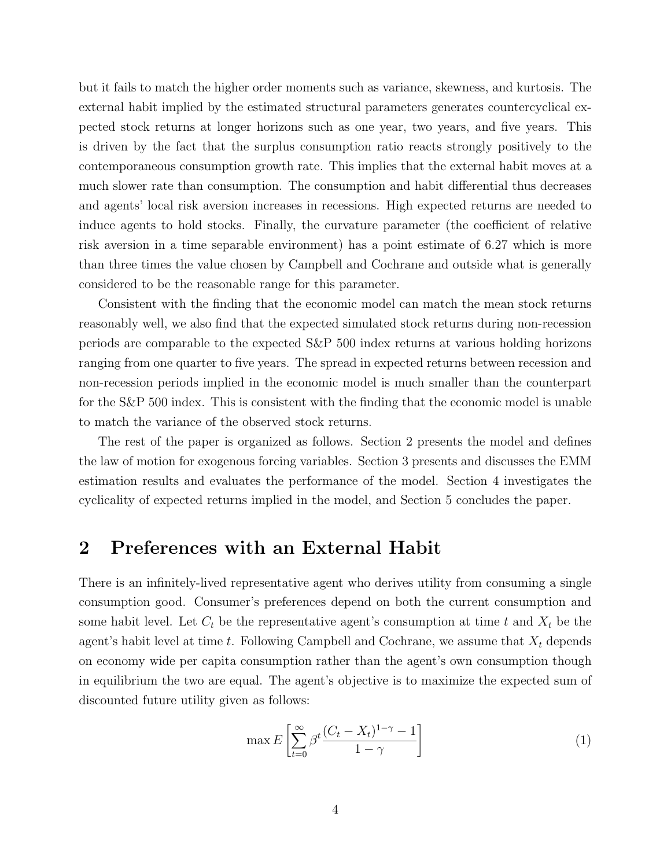but it fails to match the higher order moments such as variance, skewness, and kurtosis. The external habit implied by the estimated structural parameters generates countercyclical expected stock returns at longer horizons such as one year, two years, and five years. This is driven by the fact that the surplus consumption ratio reacts strongly positively to the contemporaneous consumption growth rate. This implies that the external habit moves at a much slower rate than consumption. The consumption and habit differential thus decreases and agents' local risk aversion increases in recessions. High expected returns are needed to induce agents to hold stocks. Finally, the curvature parameter (the coefficient of relative risk aversion in a time separable environment) has a point estimate of 6.27 which is more than three times the value chosen by Campbell and Cochrane and outside what is generally considered to be the reasonable range for this parameter.

Consistent with the finding that the economic model can match the mean stock returns reasonably well, we also find that the expected simulated stock returns during non-recession periods are comparable to the expected S&P 500 index returns at various holding horizons ranging from one quarter to five years. The spread in expected returns between recession and non-recession periods implied in the economic model is much smaller than the counterpart for the S&P 500 index. This is consistent with the finding that the economic model is unable to match the variance of the observed stock returns.

The rest of the paper is organized as follows. Section 2 presents the model and defines the law of motion for exogenous forcing variables. Section 3 presents and discusses the EMM estimation results and evaluates the performance of the model. Section 4 investigates the cyclicality of expected returns implied in the model, and Section 5 concludes the paper.

### 2 Preferences with an External Habit

There is an infinitely-lived representative agent who derives utility from consuming a single consumption good. Consumer's preferences depend on both the current consumption and some habit level. Let  $C_t$  be the representative agent's consumption at time t and  $X_t$  be the agent's habit level at time t. Following Campbell and Cochrane, we assume that  $X_t$  depends on economy wide per capita consumption rather than the agent's own consumption though in equilibrium the two are equal. The agent's objective is to maximize the expected sum of discounted future utility given as follows:

$$
\max E\left[\sum_{t=0}^{\infty} \beta^t \frac{(C_t - X_t)^{1-\gamma} - 1}{1 - \gamma}\right]
$$
\n(1)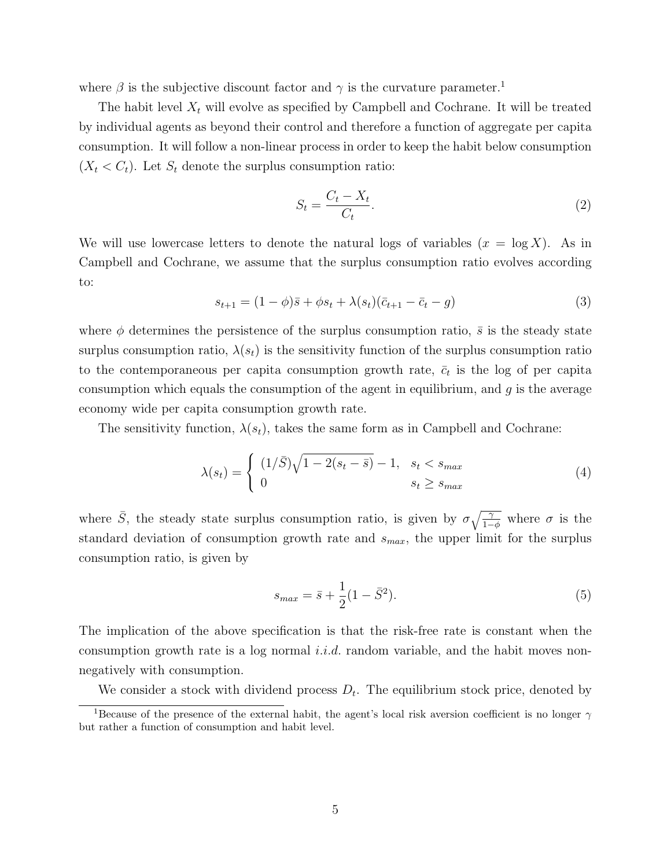where  $\beta$  is the subjective discount factor and  $\gamma$  is the curvature parameter.<sup>1</sup>

The habit level  $X_t$  will evolve as specified by Campbell and Cochrane. It will be treated by individual agents as beyond their control and therefore a function of aggregate per capita consumption. It will follow a non-linear process in order to keep the habit below consumption  $(X_t < C_t)$ . Let  $S_t$  denote the surplus consumption ratio:

$$
S_t = \frac{C_t - X_t}{C_t}.\tag{2}
$$

We will use lowercase letters to denote the natural logs of variables  $(x = \log X)$ . As in Campbell and Cochrane, we assume that the surplus consumption ratio evolves according to:

$$
s_{t+1} = (1 - \phi)\bar{s} + \phi s_t + \lambda(s_t)(\bar{c}_{t+1} - \bar{c}_t - g) \tag{3}
$$

where  $\phi$  determines the persistence of the surplus consumption ratio,  $\bar{s}$  is the steady state surplus consumption ratio,  $\lambda(s_t)$  is the sensitivity function of the surplus consumption ratio to the contemporaneous per capita consumption growth rate,  $\bar{c}_t$  is the log of per capita consumption which equals the consumption of the agent in equilibrium, and  $g$  is the average economy wide per capita consumption growth rate.

The sensitivity function,  $\lambda(s_t)$ , takes the same form as in Campbell and Cochrane:

$$
\lambda(s_t) = \begin{cases} (1/\bar{S})\sqrt{1 - 2(s_t - \bar{s})} - 1, & s_t < s_{max} \\ 0 & s_t \ge s_{max} \end{cases}
$$
(4)

where  $\bar{S}$ , the steady state surplus consumption ratio, is given by  $\sigma \sqrt{\frac{\gamma}{1-\phi}}$  where  $\sigma$  is the standard deviation of consumption growth rate and  $s_{max}$ , the upper limit for the surplus consumption ratio, is given by

$$
s_{max} = \bar{s} + \frac{1}{2}(1 - \bar{S}^2). \tag{5}
$$

The implication of the above specification is that the risk-free rate is constant when the consumption growth rate is a log normal *i.i.d.* random variable, and the habit moves nonnegatively with consumption.

We consider a stock with dividend process  $D_t$ . The equilibrium stock price, denoted by

<sup>&</sup>lt;sup>1</sup>Because of the presence of the external habit, the agent's local risk aversion coefficient is no longer  $\gamma$ but rather a function of consumption and habit level.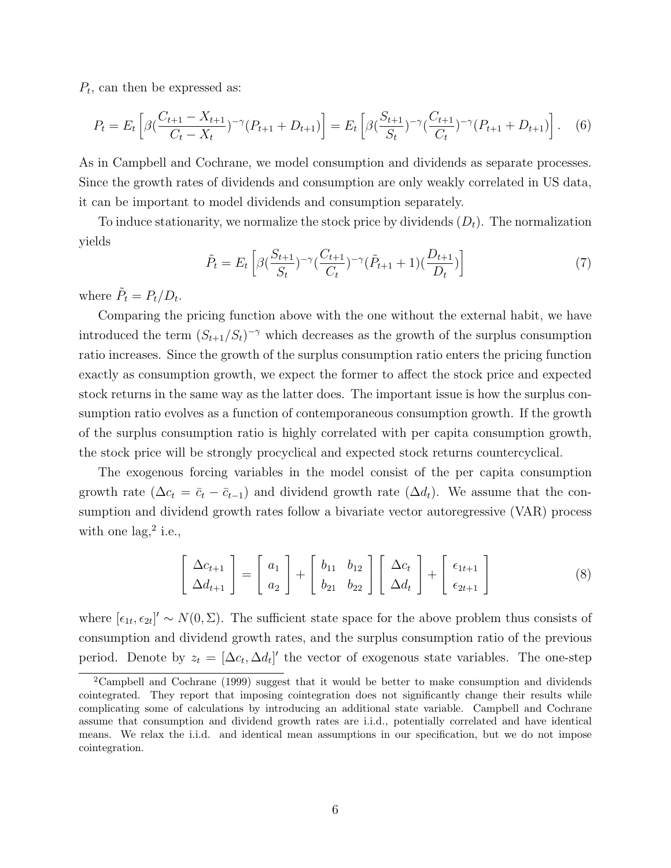$P_t$ , can then be expressed as:

$$
P_t = E_t \left[ \beta \left( \frac{C_{t+1} - X_{t+1}}{C_t - X_t} \right)^{-\gamma} (P_{t+1} + D_{t+1}) \right] = E_t \left[ \beta \left( \frac{S_{t+1}}{S_t} \right)^{-\gamma} \left( \frac{C_{t+1}}{C_t} \right)^{-\gamma} (P_{t+1} + D_{t+1}) \right]. \tag{6}
$$

As in Campbell and Cochrane, we model consumption and dividends as separate processes. Since the growth rates of dividends and consumption are only weakly correlated in US data, it can be important to model dividends and consumption separately.

To induce stationarity, we normalize the stock price by dividends  $(D_t)$ . The normalization yields

$$
\tilde{P}_t = E_t \left[ \beta \left( \frac{S_{t+1}}{S_t} \right)^{-\gamma} \left( \frac{C_{t+1}}{C_t} \right)^{-\gamma} \left( \tilde{P}_{t+1} + 1 \right) \left( \frac{D_{t+1}}{D_t} \right) \right]
$$
\n(7)

where  $\tilde{P}_t = P_t/D_t$ .

Comparing the pricing function above with the one without the external habit, we have introduced the term  $(S_{t+1}/S_t)^{-\gamma}$  which decreases as the growth of the surplus consumption ratio increases. Since the growth of the surplus consumption ratio enters the pricing function exactly as consumption growth, we expect the former to affect the stock price and expected stock returns in the same way as the latter does. The important issue is how the surplus consumption ratio evolves as a function of contemporaneous consumption growth. If the growth of the surplus consumption ratio is highly correlated with per capita consumption growth, the stock price will be strongly procyclical and expected stock returns countercyclical.

The exogenous forcing variables in the model consist of the per capita consumption growth rate ( $\Delta c_t = \bar{c}_t - \bar{c}_{t-1}$ ) and dividend growth rate ( $\Delta d_t$ ). We assume that the consumption and dividend growth rates follow a bivariate vector autoregressive (VAR) process with one  $\log$ <sup>2</sup> i.e.,

$$
\begin{bmatrix}\n\Delta c_{t+1} \\
\Delta d_{t+1}\n\end{bmatrix} = \begin{bmatrix}\na_1 \\
a_2\n\end{bmatrix} + \begin{bmatrix}\nb_{11} & b_{12} \\
b_{21} & b_{22}\n\end{bmatrix} \begin{bmatrix}\n\Delta c_t \\
\Delta d_t\n\end{bmatrix} + \begin{bmatrix}\n\epsilon_{1t+1} \\
\epsilon_{2t+1}\n\end{bmatrix}
$$
\n(8)

where  $[\epsilon_{1t}, \epsilon_{2t}]' \sim N(0, \Sigma)$ . The sufficient state space for the above problem thus consists of consumption and dividend growth rates, and the surplus consumption ratio of the previous period. Denote by  $z_t = [\Delta c_t, \Delta d_t]'$  the vector of exogenous state variables. The one-step

<sup>2</sup>Campbell and Cochrane (1999) suggest that it would be better to make consumption and dividends cointegrated. They report that imposing cointegration does not significantly change their results while complicating some of calculations by introducing an additional state variable. Campbell and Cochrane assume that consumption and dividend growth rates are i.i.d., potentially correlated and have identical means. We relax the i.i.d. and identical mean assumptions in our specification, but we do not impose cointegration.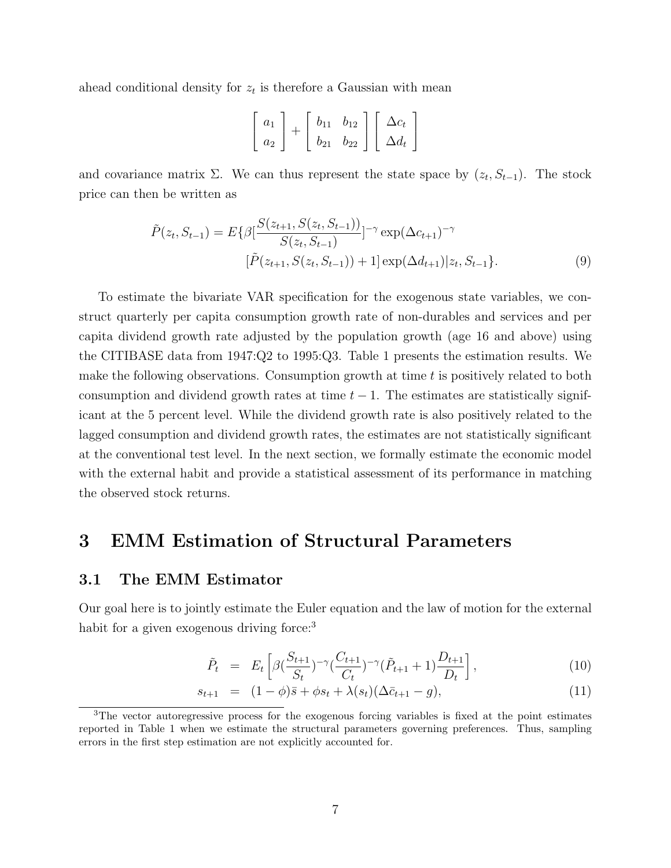ahead conditional density for  $z_t$  is therefore a Gaussian with mean

$$
\left[\begin{array}{c} a_1 \\ a_2 \end{array}\right] + \left[\begin{array}{cc} b_{11} & b_{12} \\ b_{21} & b_{22} \end{array}\right] \left[\begin{array}{c} \Delta c_t \\ \Delta d_t \end{array}\right]
$$

and covariance matrix  $\Sigma$ . We can thus represent the state space by  $(z_t, S_{t-1})$ . The stock price can then be written as

$$
\tilde{P}(z_t, S_{t-1}) = E\{\beta \left[ \frac{S(z_{t+1}, S(z_t, S_{t-1}))}{S(z_t, S_{t-1})} \right]^{-\gamma} \exp(\Delta c_{t+1})^{-\gamma}
$$

$$
\left[ \tilde{P}(z_{t+1}, S(z_t, S_{t-1})) + 1 \right] \exp(\Delta d_{t+1}) | z_t, S_{t-1} \}.
$$
\n(9)

To estimate the bivariate VAR specification for the exogenous state variables, we construct quarterly per capita consumption growth rate of non-durables and services and per capita dividend growth rate adjusted by the population growth (age 16 and above) using the CITIBASE data from 1947:Q2 to 1995:Q3. Table 1 presents the estimation results. We make the following observations. Consumption growth at time  $t$  is positively related to both consumption and dividend growth rates at time  $t - 1$ . The estimates are statistically significant at the 5 percent level. While the dividend growth rate is also positively related to the lagged consumption and dividend growth rates, the estimates are not statistically significant at the conventional test level. In the next section, we formally estimate the economic model with the external habit and provide a statistical assessment of its performance in matching the observed stock returns.

# 3 EMM Estimation of Structural Parameters

### 3.1 The EMM Estimator

Our goal here is to jointly estimate the Euler equation and the law of motion for the external habit for a given exogenous driving force:<sup>3</sup>

$$
\tilde{P}_t = E_t \left[ \beta \left( \frac{S_{t+1}}{S_t} \right)^{-\gamma} \left( \frac{C_{t+1}}{C_t} \right)^{-\gamma} \left( \tilde{P}_{t+1} + 1 \right) \frac{D_{t+1}}{D_t} \right],\tag{10}
$$

$$
s_{t+1} = (1 - \phi)\bar{s} + \phi s_t + \lambda(s_t)(\Delta \bar{c}_{t+1} - g), \tag{11}
$$

<sup>3</sup>The vector autoregressive process for the exogenous forcing variables is fixed at the point estimates reported in Table 1 when we estimate the structural parameters governing preferences. Thus, sampling errors in the first step estimation are not explicitly accounted for.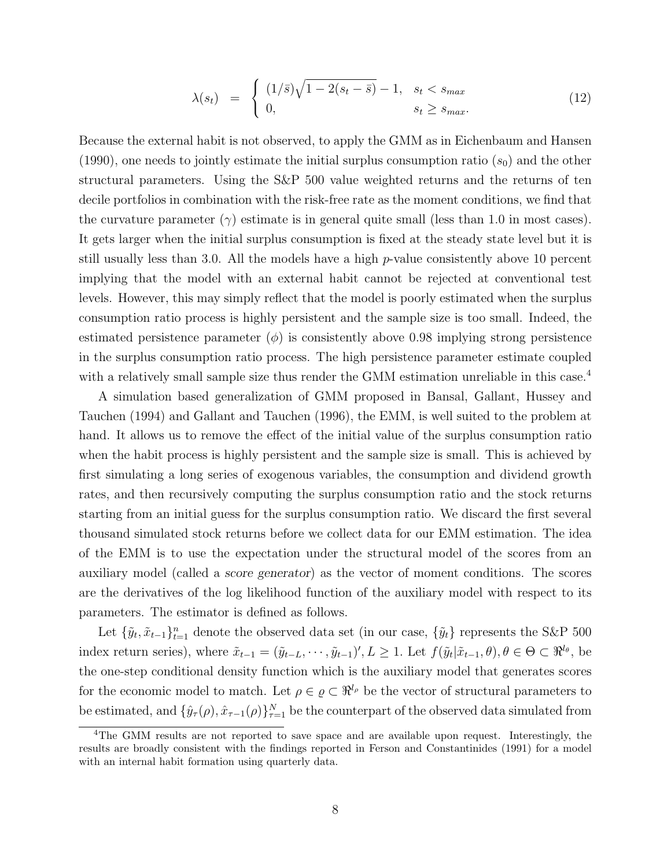$$
\lambda(s_t) = \begin{cases} (1/\bar{s})\sqrt{1 - 2(s_t - \bar{s})} - 1, & s_t < s_{\text{max}} \\ 0, & s_t \ge s_{\text{max}}. \end{cases} \tag{12}
$$

Because the external habit is not observed, to apply the GMM as in Eichenbaum and Hansen (1990), one needs to jointly estimate the initial surplus consumption ratio  $(s_0)$  and the other structural parameters. Using the S&P 500 value weighted returns and the returns of ten decile portfolios in combination with the risk-free rate as the moment conditions, we find that the curvature parameter  $(\gamma)$  estimate is in general quite small (less than 1.0 in most cases). It gets larger when the initial surplus consumption is fixed at the steady state level but it is still usually less than 3.0. All the models have a high p-value consistently above 10 percent implying that the model with an external habit cannot be rejected at conventional test levels. However, this may simply reflect that the model is poorly estimated when the surplus consumption ratio process is highly persistent and the sample size is too small. Indeed, the estimated persistence parameter  $(\phi)$  is consistently above 0.98 implying strong persistence in the surplus consumption ratio process. The high persistence parameter estimate coupled with a relatively small sample size thus render the GMM estimation unreliable in this case.<sup>4</sup>

A simulation based generalization of GMM proposed in Bansal, Gallant, Hussey and Tauchen (1994) and Gallant and Tauchen (1996), the EMM, is well suited to the problem at hand. It allows us to remove the effect of the initial value of the surplus consumption ratio when the habit process is highly persistent and the sample size is small. This is achieved by first simulating a long series of exogenous variables, the consumption and dividend growth rates, and then recursively computing the surplus consumption ratio and the stock returns starting from an initial guess for the surplus consumption ratio. We discard the first several thousand simulated stock returns before we collect data for our EMM estimation. The idea of the EMM is to use the expectation under the structural model of the scores from an auxiliary model (called a score generator) as the vector of moment conditions. The scores are the derivatives of the log likelihood function of the auxiliary model with respect to its parameters. The estimator is defined as follows.

Let  $\{\tilde{y}_t, \tilde{x}_{t-1}\}_{t=1}^n$  denote the observed data set (in our case,  $\{\tilde{y}_t\}$  represents the S&P 500 index return series), where  $\tilde{x}_{t-1} = (\tilde{y}_{t-L}, \dots, \tilde{y}_{t-1})', L \geq 1$ . Let  $f(\tilde{y}_t | \tilde{x}_{t-1}, \theta), \theta \in \Theta \subset \Re^{l_{\theta}},$  be the one-step conditional density function which is the auxiliary model that generates scores for the economic model to match. Let  $\rho \in \varrho \subset \Re^{l_{\rho}}$  be the vector of structural parameters to be estimated, and  $\{\hat{y}_\tau(\rho), \hat{x}_{\tau-1}(\rho)\}_{\tau=1}^N$  be the counterpart of the observed data simulated from

<sup>&</sup>lt;sup>4</sup>The GMM results are not reported to save space and are available upon request. Interestingly, the results are broadly consistent with the findings reported in Ferson and Constantinides (1991) for a model with an internal habit formation using quarterly data.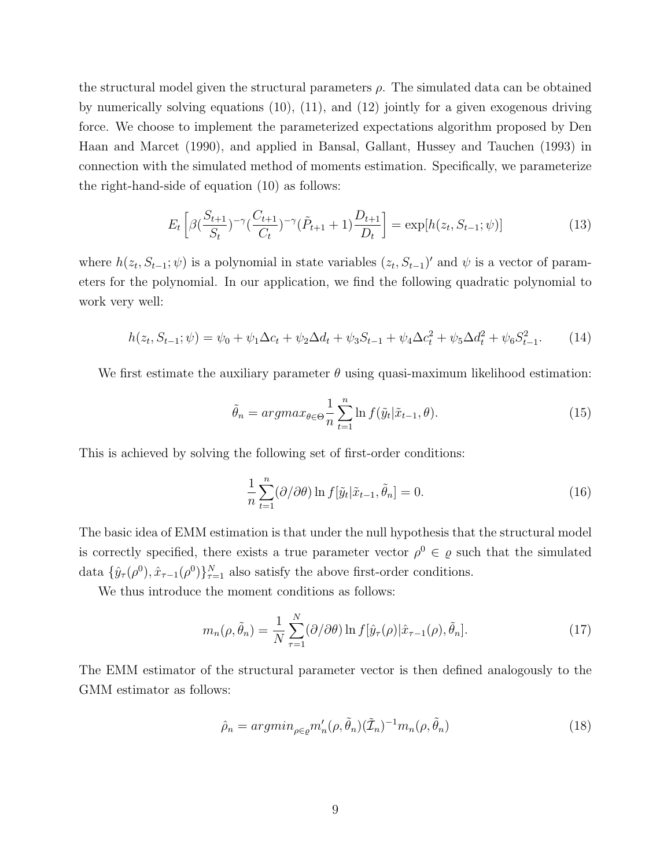the structural model given the structural parameters  $\rho$ . The simulated data can be obtained by numerically solving equations (10), (11), and (12) jointly for a given exogenous driving force. We choose to implement the parameterized expectations algorithm proposed by Den Haan and Marcet (1990), and applied in Bansal, Gallant, Hussey and Tauchen (1993) in connection with the simulated method of moments estimation. Specifically, we parameterize the right-hand-side of equation (10) as follows:

$$
E_t\left[\beta\left(\frac{S_{t+1}}{S_t}\right)^{-\gamma}\left(\frac{C_{t+1}}{C_t}\right)^{-\gamma}\left(\tilde{P}_{t+1}+1\right)\frac{D_{t+1}}{D_t}\right] = \exp[h(z_t, S_{t-1}; \psi)]\tag{13}
$$

where  $h(z_t, S_{t-1}; \psi)$  is a polynomial in state variables  $(z_t, S_{t-1})'$  and  $\psi$  is a vector of parameters for the polynomial. In our application, we find the following quadratic polynomial to work very well:

$$
h(z_t, S_{t-1}; \psi) = \psi_0 + \psi_1 \Delta c_t + \psi_2 \Delta d_t + \psi_3 S_{t-1} + \psi_4 \Delta c_t^2 + \psi_5 \Delta d_t^2 + \psi_6 S_{t-1}^2.
$$
 (14)

We first estimate the auxiliary parameter  $\theta$  using quasi-maximum likelihood estimation:

$$
\tilde{\theta}_n = argmax_{\theta \in \Theta} \frac{1}{n} \sum_{t=1}^n \ln f(\tilde{y}_t | \tilde{x}_{t-1}, \theta).
$$
\n(15)

This is achieved by solving the following set of first-order conditions:

$$
\frac{1}{n}\sum_{t=1}^{n}(\partial/\partial\theta)\ln f[\tilde{y}_t|\tilde{x}_{t-1},\tilde{\theta}_n]=0.
$$
\n(16)

The basic idea of EMM estimation is that under the null hypothesis that the structural model is correctly specified, there exists a true parameter vector  $\rho^0 \in \varrho$  such that the simulated data  $\{\hat{y}_{\tau}(\rho^0), \hat{x}_{\tau-1}(\rho^0)\}_{\tau=1}^N$  also satisfy the above first-order conditions.

We thus introduce the moment conditions as follows:

$$
m_n(\rho, \tilde{\theta}_n) = \frac{1}{N} \sum_{\tau=1}^N (\partial/\partial \theta) \ln f[\hat{y}_\tau(\rho)|\hat{x}_{\tau-1}(\rho), \tilde{\theta}_n].
$$
\n(17)

The EMM estimator of the structural parameter vector is then defined analogously to the GMM estimator as follows:

$$
\hat{\rho}_n = \operatorname{argmin}_{\rho \in \varrho} m_n'(\rho, \tilde{\theta}_n) (\tilde{\mathcal{I}}_n)^{-1} m_n(\rho, \tilde{\theta}_n) \tag{18}
$$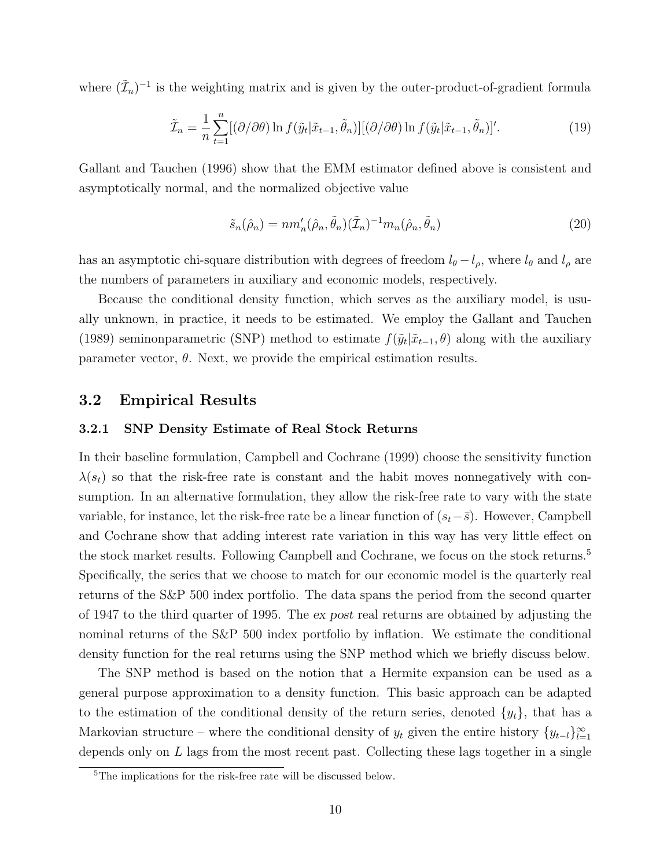where  $(\tilde{\mathcal{I}}_n)^{-1}$  is the weighting matrix and is given by the outer-product-of-gradient formula

$$
\tilde{\mathcal{I}}_n = \frac{1}{n} \sum_{t=1}^n [(\partial/\partial \theta) \ln f(\tilde{y}_t | \tilde{x}_{t-1}, \tilde{\theta}_n)][(\partial/\partial \theta) \ln f(\tilde{y}_t | \tilde{x}_{t-1}, \tilde{\theta}_n)]'. \tag{19}
$$

Gallant and Tauchen (1996) show that the EMM estimator defined above is consistent and asymptotically normal, and the normalized objective value

$$
\tilde{s}_n(\hat{\rho}_n) = nm'_n(\hat{\rho}_n, \tilde{\theta}_n)(\tilde{\mathcal{I}}_n)^{-1} m_n(\hat{\rho}_n, \tilde{\theta}_n)
$$
\n(20)

has an asymptotic chi-square distribution with degrees of freedom  $l_{\theta} - l_{\rho}$ , where  $l_{\theta}$  and  $l_{\rho}$  are the numbers of parameters in auxiliary and economic models, respectively.

Because the conditional density function, which serves as the auxiliary model, is usually unknown, in practice, it needs to be estimated. We employ the Gallant and Tauchen (1989) seminonparametric (SNP) method to estimate  $f(\tilde{y}_t|\tilde{x}_{t-1},\theta)$  along with the auxiliary parameter vector,  $\theta$ . Next, we provide the empirical estimation results.

### 3.2 Empirical Results

#### 3.2.1 SNP Density Estimate of Real Stock Returns

In their baseline formulation, Campbell and Cochrane (1999) choose the sensitivity function  $\lambda(s_t)$  so that the risk-free rate is constant and the habit moves nonnegatively with consumption. In an alternative formulation, they allow the risk-free rate to vary with the state variable, for instance, let the risk-free rate be a linear function of  $(s_t-\bar{s})$ . However, Campbell and Cochrane show that adding interest rate variation in this way has very little effect on the stock market results. Following Campbell and Cochrane, we focus on the stock returns.<sup>5</sup> Specifically, the series that we choose to match for our economic model is the quarterly real returns of the S&P 500 index portfolio. The data spans the period from the second quarter of 1947 to the third quarter of 1995. The ex post real returns are obtained by adjusting the nominal returns of the S&P 500 index portfolio by inflation. We estimate the conditional density function for the real returns using the SNP method which we briefly discuss below.

The SNP method is based on the notion that a Hermite expansion can be used as a general purpose approximation to a density function. This basic approach can be adapted to the estimation of the conditional density of the return series, denoted  $\{y_t\}$ , that has a Markovian structure – where the conditional density of  $y_t$  given the entire history  $\{y_{t-l}\}_{l=1}^{\infty}$ depends only on L lags from the most recent past. Collecting these lags together in a single

<sup>5</sup>The implications for the risk-free rate will be discussed below.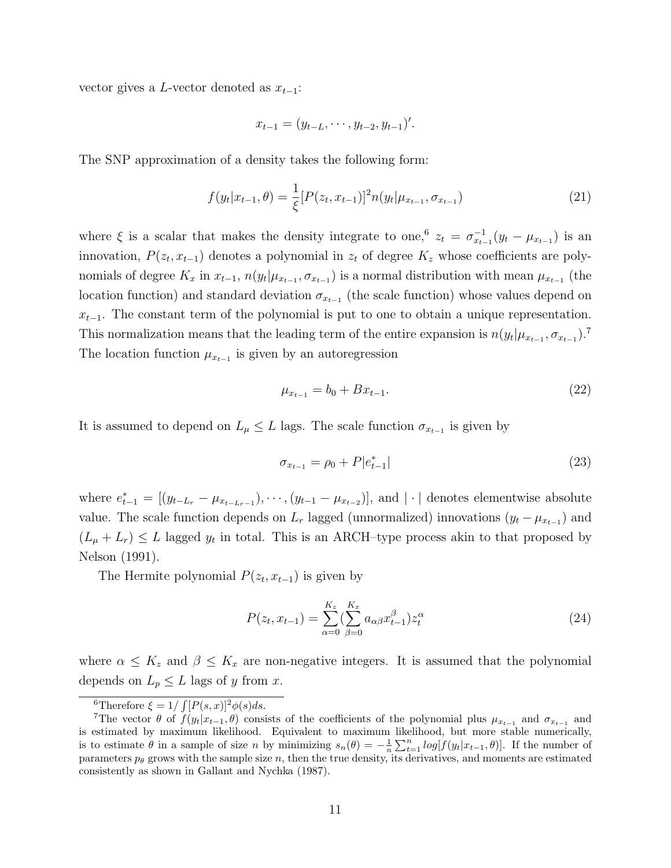vector gives a L-vector denoted as  $x_{t-1}$ :

$$
x_{t-1} = (y_{t-L}, \cdots, y_{t-2}, y_{t-1})'.
$$

The SNP approximation of a density takes the following form:

$$
f(y_t|x_{t-1}, \theta) = \frac{1}{\xi} [P(z_t, x_{t-1})]^2 n(y_t | \mu_{x_{t-1}}, \sigma_{x_{t-1}})
$$
\n(21)

where  $\xi$  is a scalar that makes the density integrate to one,  $z_t = \sigma_{x_t}^{-1}$  $\frac{-1}{x_{t-1}}(y_t - \mu_{x_{t-1}})$  is an innovation,  $P(z_t, x_{t-1})$  denotes a polynomial in  $z_t$  of degree  $K_z$  whose coefficients are polynomials of degree  $K_x$  in  $x_{t-1}$ ,  $n(y_t | \mu_{x_{t-1}}, \sigma_{x_{t-1}})$  is a normal distribution with mean  $\mu_{x_{t-1}}$  (the location function) and standard deviation  $\sigma_{x_{t-1}}$  (the scale function) whose values depend on  $x_{t-1}$ . The constant term of the polynomial is put to one to obtain a unique representation. This normalization means that the leading term of the entire expansion is  $n(y_t | \mu_{x_{t-1}}, \sigma_{x_{t-1}})$ .<sup>7</sup> The location function  $\mu_{x_{t-1}}$  is given by an autoregression

$$
\mu_{x_{t-1}} = b_0 + Bx_{t-1}.\tag{22}
$$

It is assumed to depend on  $L_{\mu} \leq L$  lags. The scale function  $\sigma_{x_{t-1}}$  is given by

$$
\sigma_{x_{t-1}} = \rho_0 + P|e_{t-1}^*| \tag{23}
$$

where  $e_{t-1}^* = [(y_{t-L_r} - \mu_{x_{t-L_r-1}}), \cdots, (y_{t-1} - \mu_{x_{t-2}})],$  and  $|\cdot|$  denotes elementwise absolute value. The scale function depends on  $L_r$  lagged (unnormalized) innovations  $(y_t - \mu_{x_{t-1}})$  and  $(L_{\mu}+L_{r}) \leq L$  lagged  $y_{t}$  in total. This is an ARCH-type process akin to that proposed by Nelson (1991).

The Hermite polynomial  $P(z_t, x_{t-1})$  is given by

$$
P(z_t, x_{t-1}) = \sum_{\alpha=0}^{K_z} \left(\sum_{\beta=0}^{K_x} a_{\alpha\beta} x_{t-1}^{\beta}\right) z_t^{\alpha}
$$
 (24)

where  $\alpha \leq K_z$  and  $\beta \leq K_x$  are non-negative integers. It is assumed that the polynomial depends on  $L_p \leq L$  lags of y from x.

<sup>&</sup>lt;sup>6</sup>Therefore  $\xi = 1/\int [P(s,x)]^2 \phi(s) ds$ .

<sup>&</sup>lt;sup>7</sup>The vector  $\theta$  of  $f(y_t|x_{t-1}, \theta)$  consists of the coefficients of the polynomial plus  $\mu_{x_{t-1}}$  and  $\sigma_{x_{t-1}}$  and is estimated by maximum likelihood. Equivalent to maximum likelihood, but more stable numerically, is to estimate  $\theta$  in a sample of size n by minimizing  $s_n(\theta) = -\frac{1}{n} \sum_{t=1}^n log[f(y_t|x_{t-1}, \theta)]$ . If the number of parameters  $p_{\theta}$  grows with the sample size n, then the true density, its derivatives, and moments are estimated consistently as shown in Gallant and Nychka (1987).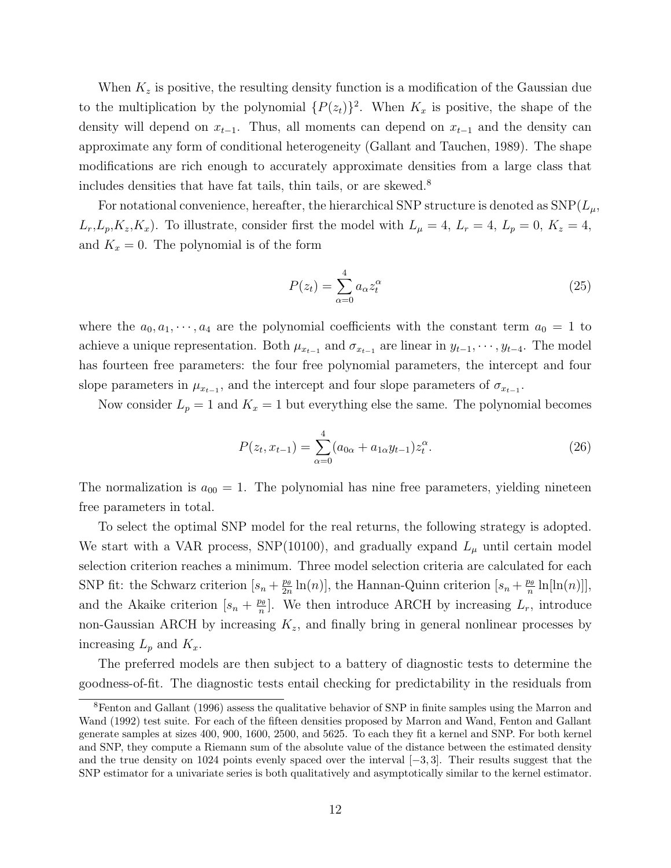When  $K_z$  is positive, the resulting density function is a modification of the Gaussian due to the multiplication by the polynomial  $\{P(z_t)\}^2$ . When  $K_x$  is positive, the shape of the density will depend on  $x_{t-1}$ . Thus, all moments can depend on  $x_{t-1}$  and the density can approximate any form of conditional heterogeneity (Gallant and Tauchen, 1989). The shape modifications are rich enough to accurately approximate densities from a large class that includes densities that have fat tails, thin tails, or are skewed. 8

For notational convenience, hereafter, the hierarchical SNP structure is denoted as  $SNP(L_{\mu},$  $L_r, L_p, K_z, K_x$ ). To illustrate, consider first the model with  $L_\mu = 4, L_r = 4, L_p = 0, K_z = 4,$ and  $K_x = 0$ . The polynomial is of the form

$$
P(z_t) = \sum_{\alpha=0}^{4} a_{\alpha} z_t^{\alpha} \tag{25}
$$

where the  $a_0, a_1, \dots, a_4$  are the polynomial coefficients with the constant term  $a_0 = 1$  to achieve a unique representation. Both  $\mu_{x_{t-1}}$  and  $\sigma_{x_{t-1}}$  are linear in  $y_{t-1}, \dots, y_{t-4}$ . The model has fourteen free parameters: the four free polynomial parameters, the intercept and four slope parameters in  $\mu_{x_{t-1}}$ , and the intercept and four slope parameters of  $\sigma_{x_{t-1}}$ .

Now consider  $L_p = 1$  and  $K_x = 1$  but everything else the same. The polynomial becomes

$$
P(z_t, x_{t-1}) = \sum_{\alpha=0}^{4} (a_{0\alpha} + a_{1\alpha} y_{t-1}) z_t^{\alpha}.
$$
 (26)

The normalization is  $a_{00} = 1$ . The polynomial has nine free parameters, yielding nineteen free parameters in total.

To select the optimal SNP model for the real returns, the following strategy is adopted. We start with a VAR process, SNP(10100), and gradually expand  $L_{\mu}$  until certain model selection criterion reaches a minimum. Three model selection criteria are calculated for each SNP fit: the Schwarz criterion  $[s_n + \frac{p_\theta}{2n}]$  $\frac{p_{\theta}}{2n}\ln(n)$ , the Hannan-Quinn criterion  $[s_n + \frac{p_{\theta}}{n}]$  $\frac{p_{\theta}}{n}\ln[\ln(n)]],$ and the Akaike criterion  $[s_n + \frac{p_\theta}{n}]$  $\frac{\rho_{\theta}}{n}$ . We then introduce ARCH by increasing  $L_r$ , introduce non-Gaussian ARCH by increasing  $K_z$ , and finally bring in general nonlinear processes by increasing  $L_p$  and  $K_x$ .

The preferred models are then subject to a battery of diagnostic tests to determine the goodness-of-fit. The diagnostic tests entail checking for predictability in the residuals from

<sup>8</sup>Fenton and Gallant (1996) assess the qualitative behavior of SNP in finite samples using the Marron and Wand (1992) test suite. For each of the fifteen densities proposed by Marron and Wand, Fenton and Gallant generate samples at sizes 400, 900, 1600, 2500, and 5625. To each they fit a kernel and SNP. For both kernel and SNP, they compute a Riemann sum of the absolute value of the distance between the estimated density and the true density on 1024 points evenly spaced over the interval [−3, 3]. Their results suggest that the SNP estimator for a univariate series is both qualitatively and asymptotically similar to the kernel estimator.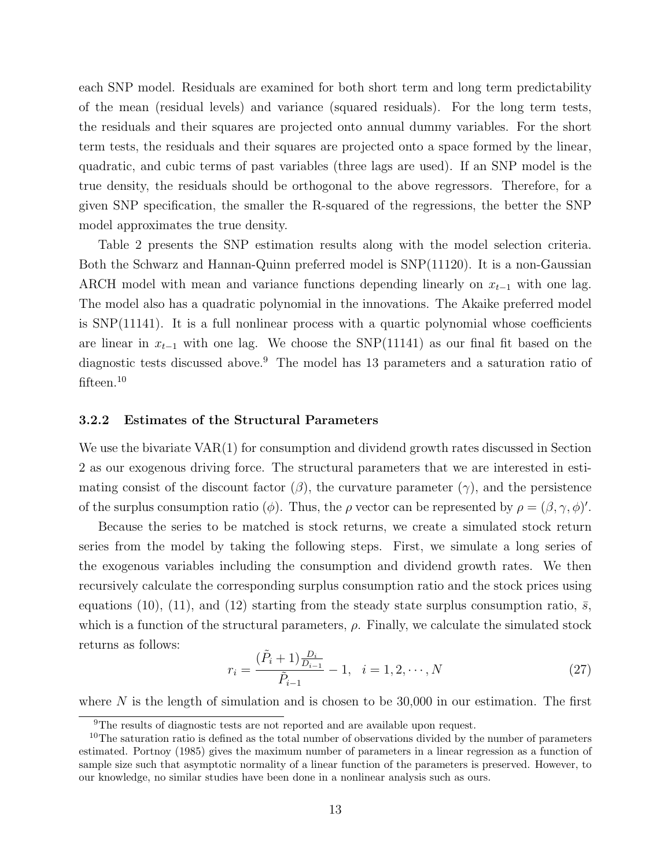each SNP model. Residuals are examined for both short term and long term predictability of the mean (residual levels) and variance (squared residuals). For the long term tests, the residuals and their squares are projected onto annual dummy variables. For the short term tests, the residuals and their squares are projected onto a space formed by the linear, quadratic, and cubic terms of past variables (three lags are used). If an SNP model is the true density, the residuals should be orthogonal to the above regressors. Therefore, for a given SNP specification, the smaller the R-squared of the regressions, the better the SNP model approximates the true density.

Table 2 presents the SNP estimation results along with the model selection criteria. Both the Schwarz and Hannan-Quinn preferred model is SNP(11120). It is a non-Gaussian ARCH model with mean and variance functions depending linearly on  $x_{t-1}$  with one lag. The model also has a quadratic polynomial in the innovations. The Akaike preferred model is SNP(11141). It is a full nonlinear process with a quartic polynomial whose coefficients are linear in  $x_{t-1}$  with one lag. We choose the SNP(11141) as our final fit based on the diagnostic tests discussed above.<sup>9</sup> The model has 13 parameters and a saturation ratio of fifteen.<sup>10</sup>

#### 3.2.2 Estimates of the Structural Parameters

We use the bivariate VAR(1) for consumption and dividend growth rates discussed in Section 2 as our exogenous driving force. The structural parameters that we are interested in estimating consist of the discount factor  $(\beta)$ , the curvature parameter  $(\gamma)$ , and the persistence of the surplus consumption ratio ( $\phi$ ). Thus, the  $\rho$  vector can be represented by  $\rho = (\beta, \gamma, \phi)'$ .

Because the series to be matched is stock returns, we create a simulated stock return series from the model by taking the following steps. First, we simulate a long series of the exogenous variables including the consumption and dividend growth rates. We then recursively calculate the corresponding surplus consumption ratio and the stock prices using equations (10), (11), and (12) starting from the steady state surplus consumption ratio,  $\bar{s}$ , which is a function of the structural parameters,  $\rho$ . Finally, we calculate the simulated stock returns as follows:

$$
r_i = \frac{(\tilde{P}_i + 1)\frac{D_i}{D_{i-1}}}{\tilde{P}_{i-1}} - 1, \quad i = 1, 2, \cdots, N
$$
\n(27)

where  $N$  is the length of simulation and is chosen to be 30,000 in our estimation. The first

<sup>&</sup>lt;sup>9</sup>The results of diagnostic tests are not reported and are available upon request.

 $10$ The saturation ratio is defined as the total number of observations divided by the number of parameters estimated. Portnoy (1985) gives the maximum number of parameters in a linear regression as a function of sample size such that asymptotic normality of a linear function of the parameters is preserved. However, to our knowledge, no similar studies have been done in a nonlinear analysis such as ours.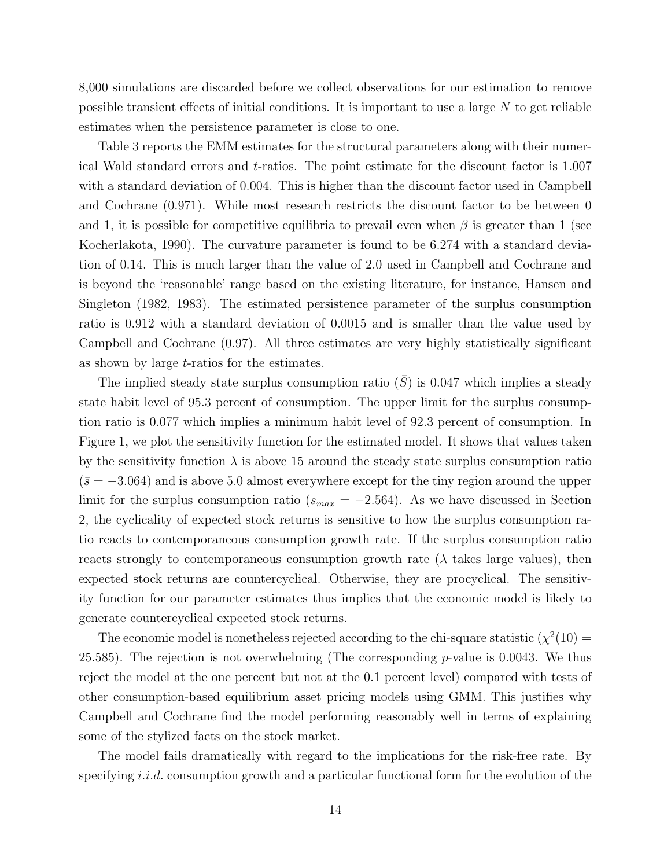8,000 simulations are discarded before we collect observations for our estimation to remove possible transient effects of initial conditions. It is important to use a large  $N$  to get reliable estimates when the persistence parameter is close to one.

Table 3 reports the EMM estimates for the structural parameters along with their numerical Wald standard errors and t-ratios. The point estimate for the discount factor is 1.007 with a standard deviation of 0.004. This is higher than the discount factor used in Campbell and Cochrane (0.971). While most research restricts the discount factor to be between 0 and 1, it is possible for competitive equilibria to prevail even when  $\beta$  is greater than 1 (see Kocherlakota, 1990). The curvature parameter is found to be 6.274 with a standard deviation of 0.14. This is much larger than the value of 2.0 used in Campbell and Cochrane and is beyond the 'reasonable' range based on the existing literature, for instance, Hansen and Singleton (1982, 1983). The estimated persistence parameter of the surplus consumption ratio is 0.912 with a standard deviation of 0.0015 and is smaller than the value used by Campbell and Cochrane (0.97). All three estimates are very highly statistically significant as shown by large t-ratios for the estimates.

The implied steady state surplus consumption ratio  $(\bar{S})$  is 0.047 which implies a steady state habit level of 95.3 percent of consumption. The upper limit for the surplus consumption ratio is 0.077 which implies a minimum habit level of 92.3 percent of consumption. In Figure 1, we plot the sensitivity function for the estimated model. It shows that values taken by the sensitivity function  $\lambda$  is above 15 around the steady state surplus consumption ratio  $(\bar{s} = -3.064)$  and is above 5.0 almost everywhere except for the tiny region around the upper limit for the surplus consumption ratio ( $s_{max} = -2.564$ ). As we have discussed in Section 2, the cyclicality of expected stock returns is sensitive to how the surplus consumption ratio reacts to contemporaneous consumption growth rate. If the surplus consumption ratio reacts strongly to contemporaneous consumption growth rate  $(\lambda)$  takes large values), then expected stock returns are countercyclical. Otherwise, they are procyclical. The sensitivity function for our parameter estimates thus implies that the economic model is likely to generate countercyclical expected stock returns.

The economic model is nonetheless rejected according to the chi-square statistic  $(\chi^2(10) =$ 25.585). The rejection is not overwhelming (The corresponding  $p$ -value is 0.0043. We thus reject the model at the one percent but not at the 0.1 percent level) compared with tests of other consumption-based equilibrium asset pricing models using GMM. This justifies why Campbell and Cochrane find the model performing reasonably well in terms of explaining some of the stylized facts on the stock market.

The model fails dramatically with regard to the implications for the risk-free rate. By specifying i.i.d. consumption growth and a particular functional form for the evolution of the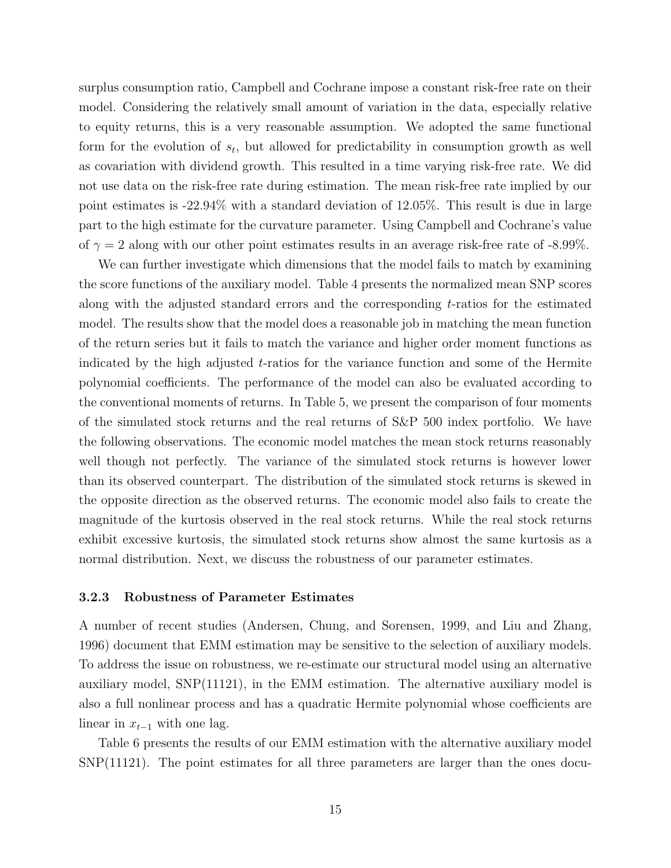surplus consumption ratio, Campbell and Cochrane impose a constant risk-free rate on their model. Considering the relatively small amount of variation in the data, especially relative to equity returns, this is a very reasonable assumption. We adopted the same functional form for the evolution of  $s_t$ , but allowed for predictability in consumption growth as well as covariation with dividend growth. This resulted in a time varying risk-free rate. We did not use data on the risk-free rate during estimation. The mean risk-free rate implied by our point estimates is -22.94% with a standard deviation of 12.05%. This result is due in large part to the high estimate for the curvature parameter. Using Campbell and Cochrane's value of  $\gamma = 2$  along with our other point estimates results in an average risk-free rate of -8.99%.

We can further investigate which dimensions that the model fails to match by examining the score functions of the auxiliary model. Table 4 presents the normalized mean SNP scores along with the adjusted standard errors and the corresponding  $t$ -ratios for the estimated model. The results show that the model does a reasonable job in matching the mean function of the return series but it fails to match the variance and higher order moment functions as indicated by the high adjusted t-ratios for the variance function and some of the Hermite polynomial coefficients. The performance of the model can also be evaluated according to the conventional moments of returns. In Table 5, we present the comparison of four moments of the simulated stock returns and the real returns of S&P 500 index portfolio. We have the following observations. The economic model matches the mean stock returns reasonably well though not perfectly. The variance of the simulated stock returns is however lower than its observed counterpart. The distribution of the simulated stock returns is skewed in the opposite direction as the observed returns. The economic model also fails to create the magnitude of the kurtosis observed in the real stock returns. While the real stock returns exhibit excessive kurtosis, the simulated stock returns show almost the same kurtosis as a normal distribution. Next, we discuss the robustness of our parameter estimates.

#### 3.2.3 Robustness of Parameter Estimates

A number of recent studies (Andersen, Chung, and Sorensen, 1999, and Liu and Zhang, 1996) document that EMM estimation may be sensitive to the selection of auxiliary models. To address the issue on robustness, we re-estimate our structural model using an alternative auxiliary model, SNP(11121), in the EMM estimation. The alternative auxiliary model is also a full nonlinear process and has a quadratic Hermite polynomial whose coefficients are linear in  $x_{t-1}$  with one lag.

Table 6 presents the results of our EMM estimation with the alternative auxiliary model SNP(11121). The point estimates for all three parameters are larger than the ones docu-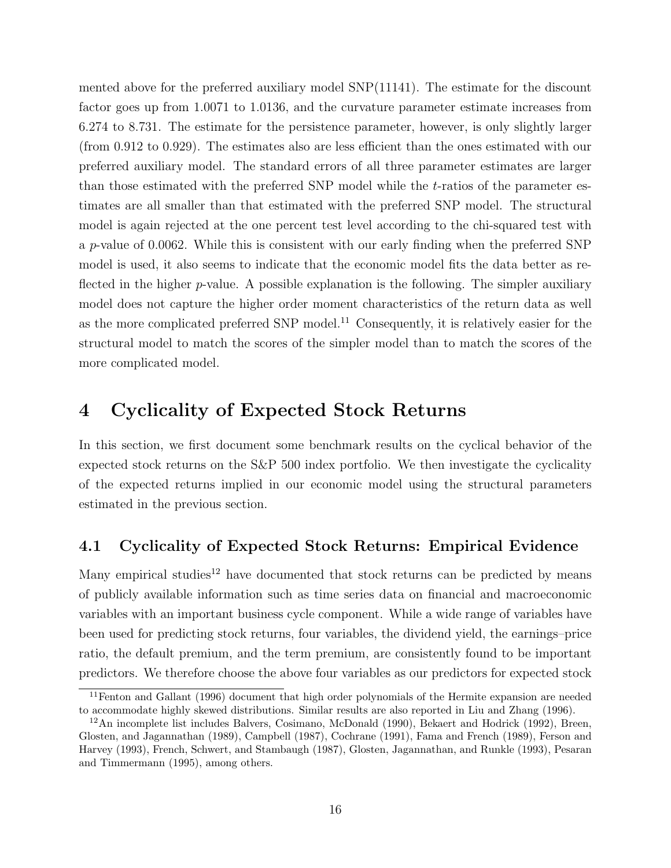mented above for the preferred auxiliary model SNP(11141). The estimate for the discount factor goes up from 1.0071 to 1.0136, and the curvature parameter estimate increases from 6.274 to 8.731. The estimate for the persistence parameter, however, is only slightly larger (from 0.912 to 0.929). The estimates also are less efficient than the ones estimated with our preferred auxiliary model. The standard errors of all three parameter estimates are larger than those estimated with the preferred SNP model while the t-ratios of the parameter estimates are all smaller than that estimated with the preferred SNP model. The structural model is again rejected at the one percent test level according to the chi-squared test with a p-value of 0.0062. While this is consistent with our early finding when the preferred SNP model is used, it also seems to indicate that the economic model fits the data better as reflected in the higher  $p$ -value. A possible explanation is the following. The simpler auxiliary model does not capture the higher order moment characteristics of the return data as well as the more complicated preferred SNP model.<sup>11</sup> Consequently, it is relatively easier for the structural model to match the scores of the simpler model than to match the scores of the more complicated model.

# 4 Cyclicality of Expected Stock Returns

In this section, we first document some benchmark results on the cyclical behavior of the expected stock returns on the S&P 500 index portfolio. We then investigate the cyclicality of the expected returns implied in our economic model using the structural parameters estimated in the previous section.

### 4.1 Cyclicality of Expected Stock Returns: Empirical Evidence

Many empirical studies<sup>12</sup> have documented that stock returns can be predicted by means of publicly available information such as time series data on financial and macroeconomic variables with an important business cycle component. While a wide range of variables have been used for predicting stock returns, four variables, the dividend yield, the earnings–price ratio, the default premium, and the term premium, are consistently found to be important predictors. We therefore choose the above four variables as our predictors for expected stock

<sup>&</sup>lt;sup>11</sup>Fenton and Gallant (1996) document that high order polynomials of the Hermite expansion are needed to accommodate highly skewed distributions. Similar results are also reported in Liu and Zhang (1996).

 $12$ An incomplete list includes Balvers, Cosimano, McDonald (1990), Bekaert and Hodrick (1992), Breen, Glosten, and Jagannathan (1989), Campbell (1987), Cochrane (1991), Fama and French (1989), Ferson and Harvey (1993), French, Schwert, and Stambaugh (1987), Glosten, Jagannathan, and Runkle (1993), Pesaran and Timmermann (1995), among others.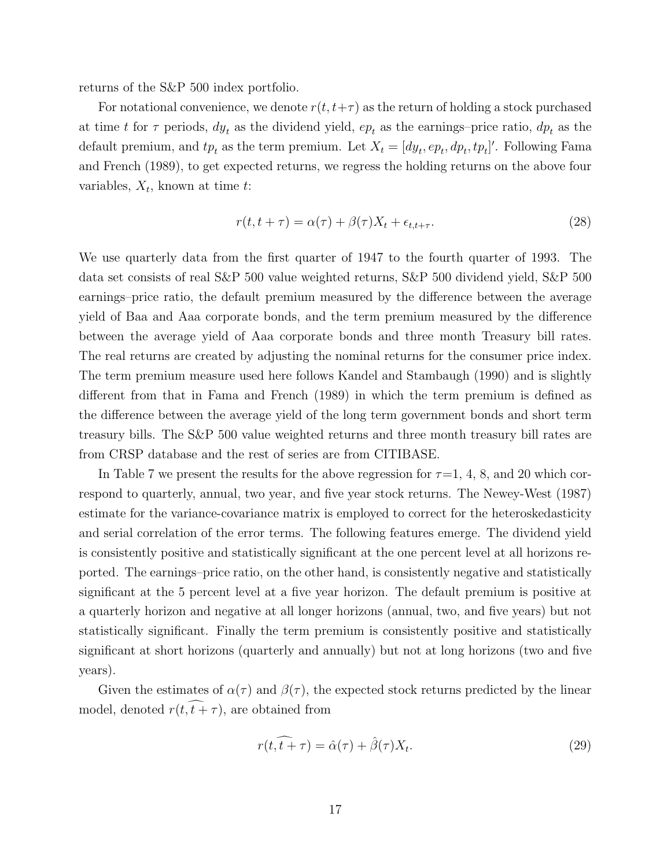returns of the S&P 500 index portfolio.

For notational convenience, we denote  $r(t,t+\tau)$  as the return of holding a stock purchased at time t for  $\tau$  periods,  $dy_t$  as the dividend yield,  $ep_t$  as the earnings–price ratio,  $dp_t$  as the default premium, and  $tp_t$  as the term premium. Let  $X_t = [dy_t, ep_t, dp_t, tp_t]'$ . Following Fama and French (1989), to get expected returns, we regress the holding returns on the above four variables,  $X_t$ , known at time t:

$$
r(t, t + \tau) = \alpha(\tau) + \beta(\tau)X_t + \epsilon_{t, t + \tau}.
$$
\n(28)

We use quarterly data from the first quarter of 1947 to the fourth quarter of 1993. The data set consists of real S&P 500 value weighted returns, S&P 500 dividend yield, S&P 500 earnings–price ratio, the default premium measured by the difference between the average yield of Baa and Aaa corporate bonds, and the term premium measured by the difference between the average yield of Aaa corporate bonds and three month Treasury bill rates. The real returns are created by adjusting the nominal returns for the consumer price index. The term premium measure used here follows Kandel and Stambaugh (1990) and is slightly different from that in Fama and French (1989) in which the term premium is defined as the difference between the average yield of the long term government bonds and short term treasury bills. The S&P 500 value weighted returns and three month treasury bill rates are from CRSP database and the rest of series are from CITIBASE.

In Table 7 we present the results for the above regression for  $\tau=1, 4, 8$ , and 20 which correspond to quarterly, annual, two year, and five year stock returns. The Newey-West (1987) estimate for the variance-covariance matrix is employed to correct for the heteroskedasticity and serial correlation of the error terms. The following features emerge. The dividend yield is consistently positive and statistically significant at the one percent level at all horizons reported. The earnings–price ratio, on the other hand, is consistently negative and statistically significant at the 5 percent level at a five year horizon. The default premium is positive at a quarterly horizon and negative at all longer horizons (annual, two, and five years) but not statistically significant. Finally the term premium is consistently positive and statistically significant at short horizons (quarterly and annually) but not at long horizons (two and five years).

Given the estimates of  $\alpha(\tau)$  and  $\beta(\tau)$ , the expected stock returns predicted by the linear model, denoted  $r(t, \tilde{t}+\tau)$ , are obtained from

$$
r(t,\widehat{t+\tau}) = \widehat{\alpha}(\tau) + \widehat{\beta}(\tau)X_t.
$$
\n(29)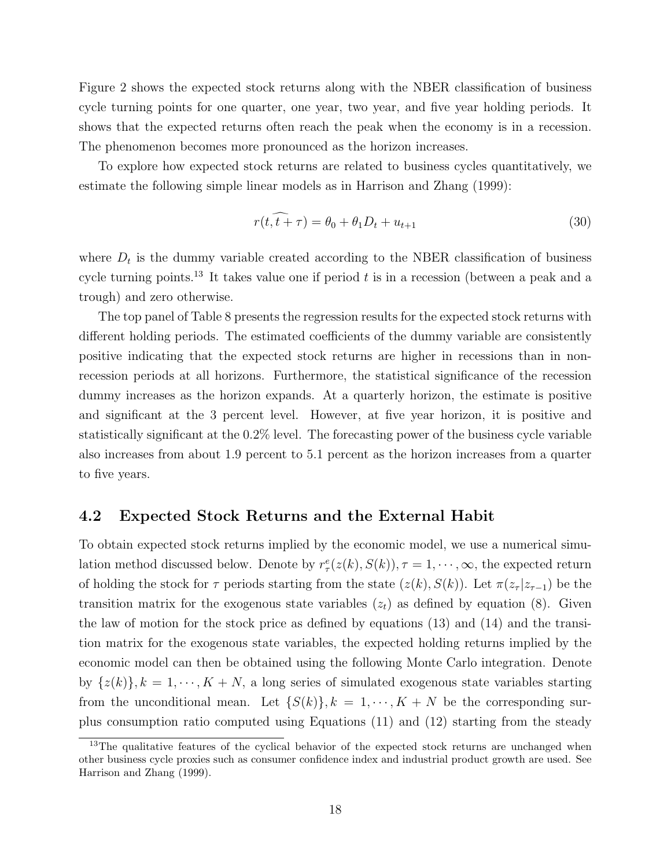Figure 2 shows the expected stock returns along with the NBER classification of business cycle turning points for one quarter, one year, two year, and five year holding periods. It shows that the expected returns often reach the peak when the economy is in a recession. The phenomenon becomes more pronounced as the horizon increases.

To explore how expected stock returns are related to business cycles quantitatively, we estimate the following simple linear models as in Harrison and Zhang (1999):

$$
r(t, \tilde{t} + \tau) = \theta_0 + \theta_1 D_t + u_{t+1}
$$
\n(30)

where  $D_t$  is the dummy variable created according to the NBER classification of business cycle turning points.<sup>13</sup> It takes value one if period  $t$  is in a recession (between a peak and a trough) and zero otherwise.

The top panel of Table 8 presents the regression results for the expected stock returns with different holding periods. The estimated coefficients of the dummy variable are consistently positive indicating that the expected stock returns are higher in recessions than in nonrecession periods at all horizons. Furthermore, the statistical significance of the recession dummy increases as the horizon expands. At a quarterly horizon, the estimate is positive and significant at the 3 percent level. However, at five year horizon, it is positive and statistically significant at the 0.2% level. The forecasting power of the business cycle variable also increases from about 1.9 percent to 5.1 percent as the horizon increases from a quarter to five years.

#### 4.2 Expected Stock Returns and the External Habit

To obtain expected stock returns implied by the economic model, we use a numerical simulation method discussed below. Denote by  $r^e_{\tau}(z(k), S(k))$ ,  $\tau = 1, \dots, \infty$ , the expected return of holding the stock for  $\tau$  periods starting from the state  $(z(k),S(k))$ . Let  $\pi(z_{\tau}|z_{\tau-1})$  be the transition matrix for the exogenous state variables  $(z_t)$  as defined by equation (8). Given the law of motion for the stock price as defined by equations (13) and (14) and the transition matrix for the exogenous state variables, the expected holding returns implied by the economic model can then be obtained using the following Monte Carlo integration. Denote by  $\{z(k)\}, k = 1, \dots, K + N$ , a long series of simulated exogenous state variables starting from the unconditional mean. Let  $\{S(k)\}, k = 1, \dots, K + N$  be the corresponding surplus consumption ratio computed using Equations (11) and (12) starting from the steady

<sup>&</sup>lt;sup>13</sup>The qualitative features of the cyclical behavior of the expected stock returns are unchanged when other business cycle proxies such as consumer confidence index and industrial product growth are used. See Harrison and Zhang (1999).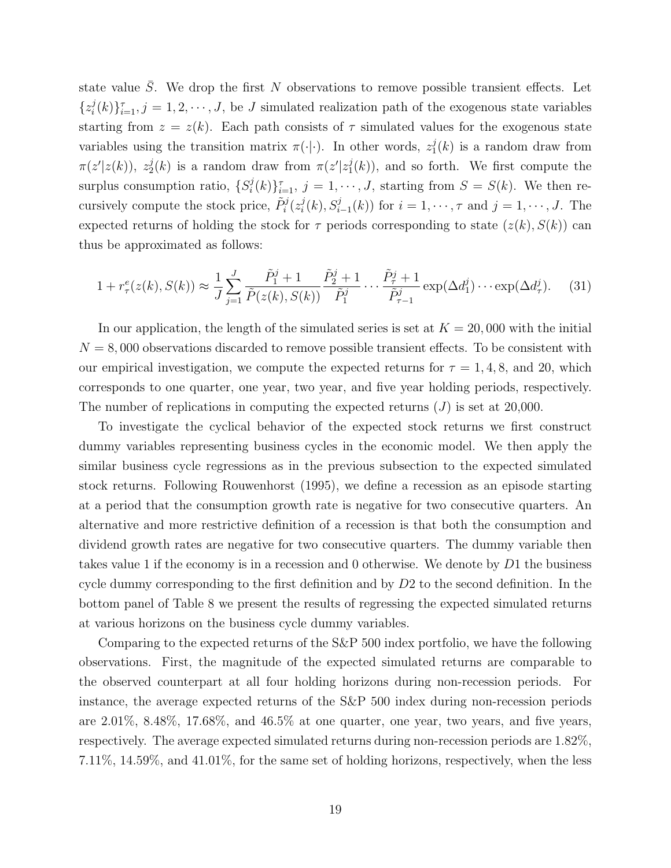state value  $\overline{S}$ . We drop the first N observations to remove possible transient effects. Let  $\{z_i^j\}$  $\{(\phi_i)^j(t)\}_{i=1}^{\tau}, j=1,2,\cdots,J$ , be J simulated realization path of the exogenous state variables starting from  $z = z(k)$ . Each path consists of  $\tau$  simulated values for the exogenous state variables using the transition matrix  $\pi(\cdot|\cdot)$ . In other words,  $z_1^j(k)$  is a random draw from  $\pi(z'|z(k))$ ,  $z_2^j(k)$  is a random draw from  $\pi(z'|z_1^j(k))$ , and so forth. We first compute the surplus consumption ratio,  $\{S_i^j\}$  $\{f_i^j(k)\}_{i=1}^{\tau}, j=1,\cdots,J$ , starting from  $S=S(k)$ . We then recursively compute the stock price,  $\tilde{P}_i^j(z_i^j)$  $i<sup>j</sup>(k)$ ,  $S_{i-1}^{j}(k)$  for  $i = 1, \dots, \tau$  and  $j = 1, \dots, J$ . The expected returns of holding the stock for  $\tau$  periods corresponding to state  $(z(k),S(k))$  can thus be approximated as follows:

$$
1 + r_{\tau}^{e}(z(k), S(k)) \approx \frac{1}{J} \sum_{j=1}^{J} \frac{\tilde{P}_{1}^{j} + 1}{\tilde{P}(z(k), S(k))} \frac{\tilde{P}_{2}^{j} + 1}{\tilde{P}_{1}^{j}} \cdots \frac{\tilde{P}_{\tau}^{j} + 1}{\tilde{P}_{\tau-1}^{j}} \exp(\Delta d_{1}^{j}) \cdots \exp(\Delta d_{\tau}^{j}). \tag{31}
$$

In our application, the length of the simulated series is set at  $K = 20,000$  with the initial  $N = 8,000$  observations discarded to remove possible transient effects. To be consistent with our empirical investigation, we compute the expected returns for  $\tau = 1, 4, 8$ , and 20, which corresponds to one quarter, one year, two year, and five year holding periods, respectively. The number of replications in computing the expected returns  $(J)$  is set at 20,000.

To investigate the cyclical behavior of the expected stock returns we first construct dummy variables representing business cycles in the economic model. We then apply the similar business cycle regressions as in the previous subsection to the expected simulated stock returns. Following Rouwenhorst (1995), we define a recession as an episode starting at a period that the consumption growth rate is negative for two consecutive quarters. An alternative and more restrictive definition of a recession is that both the consumption and dividend growth rates are negative for two consecutive quarters. The dummy variable then takes value 1 if the economy is in a recession and 0 otherwise. We denote by D1 the business cycle dummy corresponding to the first definition and by D2 to the second definition. In the bottom panel of Table 8 we present the results of regressing the expected simulated returns at various horizons on the business cycle dummy variables.

Comparing to the expected returns of the S&P 500 index portfolio, we have the following observations. First, the magnitude of the expected simulated returns are comparable to the observed counterpart at all four holding horizons during non-recession periods. For instance, the average expected returns of the S&P 500 index during non-recession periods are 2.01%, 8.48%, 17.68%, and 46.5% at one quarter, one year, two years, and five years, respectively. The average expected simulated returns during non-recession periods are 1.82%, 7.11%, 14.59%, and 41.01%, for the same set of holding horizons, respectively, when the less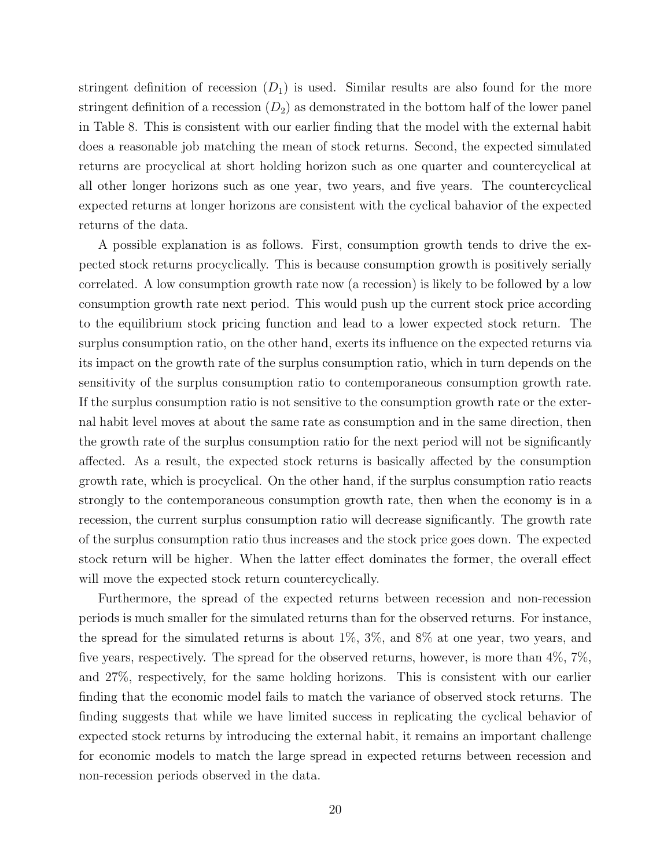stringent definition of recession  $(D_1)$  is used. Similar results are also found for the more stringent definition of a recession  $(D_2)$  as demonstrated in the bottom half of the lower panel in Table 8. This is consistent with our earlier finding that the model with the external habit does a reasonable job matching the mean of stock returns. Second, the expected simulated returns are procyclical at short holding horizon such as one quarter and countercyclical at all other longer horizons such as one year, two years, and five years. The countercyclical expected returns at longer horizons are consistent with the cyclical bahavior of the expected returns of the data.

A possible explanation is as follows. First, consumption growth tends to drive the expected stock returns procyclically. This is because consumption growth is positively serially correlated. A low consumption growth rate now (a recession) is likely to be followed by a low consumption growth rate next period. This would push up the current stock price according to the equilibrium stock pricing function and lead to a lower expected stock return. The surplus consumption ratio, on the other hand, exerts its influence on the expected returns via its impact on the growth rate of the surplus consumption ratio, which in turn depends on the sensitivity of the surplus consumption ratio to contemporaneous consumption growth rate. If the surplus consumption ratio is not sensitive to the consumption growth rate or the external habit level moves at about the same rate as consumption and in the same direction, then the growth rate of the surplus consumption ratio for the next period will not be significantly affected. As a result, the expected stock returns is basically affected by the consumption growth rate, which is procyclical. On the other hand, if the surplus consumption ratio reacts strongly to the contemporaneous consumption growth rate, then when the economy is in a recession, the current surplus consumption ratio will decrease significantly. The growth rate of the surplus consumption ratio thus increases and the stock price goes down. The expected stock return will be higher. When the latter effect dominates the former, the overall effect will move the expected stock return countercyclically.

Furthermore, the spread of the expected returns between recession and non-recession periods is much smaller for the simulated returns than for the observed returns. For instance, the spread for the simulated returns is about 1%, 3%, and 8% at one year, two years, and five years, respectively. The spread for the observed returns, however, is more than 4%, 7%, and 27%, respectively, for the same holding horizons. This is consistent with our earlier finding that the economic model fails to match the variance of observed stock returns. The finding suggests that while we have limited success in replicating the cyclical behavior of expected stock returns by introducing the external habit, it remains an important challenge for economic models to match the large spread in expected returns between recession and non-recession periods observed in the data.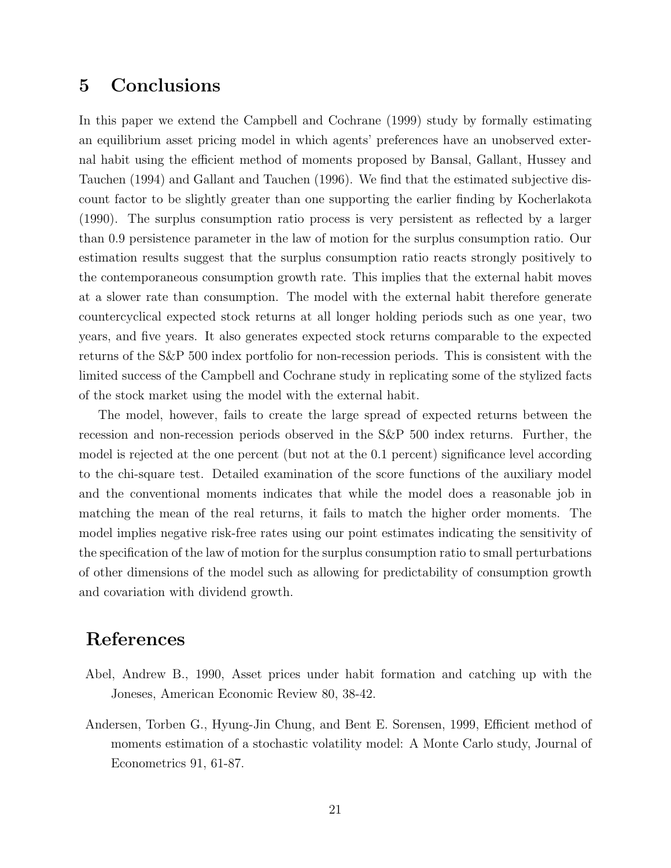# 5 Conclusions

In this paper we extend the Campbell and Cochrane (1999) study by formally estimating an equilibrium asset pricing model in which agents' preferences have an unobserved external habit using the efficient method of moments proposed by Bansal, Gallant, Hussey and Tauchen (1994) and Gallant and Tauchen (1996). We find that the estimated subjective discount factor to be slightly greater than one supporting the earlier finding by Kocherlakota (1990). The surplus consumption ratio process is very persistent as reflected by a larger than 0.9 persistence parameter in the law of motion for the surplus consumption ratio. Our estimation results suggest that the surplus consumption ratio reacts strongly positively to the contemporaneous consumption growth rate. This implies that the external habit moves at a slower rate than consumption. The model with the external habit therefore generate countercyclical expected stock returns at all longer holding periods such as one year, two years, and five years. It also generates expected stock returns comparable to the expected returns of the S&P 500 index portfolio for non-recession periods. This is consistent with the limited success of the Campbell and Cochrane study in replicating some of the stylized facts of the stock market using the model with the external habit.

The model, however, fails to create the large spread of expected returns between the recession and non-recession periods observed in the S&P 500 index returns. Further, the model is rejected at the one percent (but not at the 0.1 percent) significance level according to the chi-square test. Detailed examination of the score functions of the auxiliary model and the conventional moments indicates that while the model does a reasonable job in matching the mean of the real returns, it fails to match the higher order moments. The model implies negative risk-free rates using our point estimates indicating the sensitivity of the specification of the law of motion for the surplus consumption ratio to small perturbations of other dimensions of the model such as allowing for predictability of consumption growth and covariation with dividend growth.

### References

- Abel, Andrew B., 1990, Asset prices under habit formation and catching up with the Joneses, American Economic Review 80, 38-42.
- Andersen, Torben G., Hyung-Jin Chung, and Bent E. Sorensen, 1999, Efficient method of moments estimation of a stochastic volatility model: A Monte Carlo study, Journal of Econometrics 91, 61-87.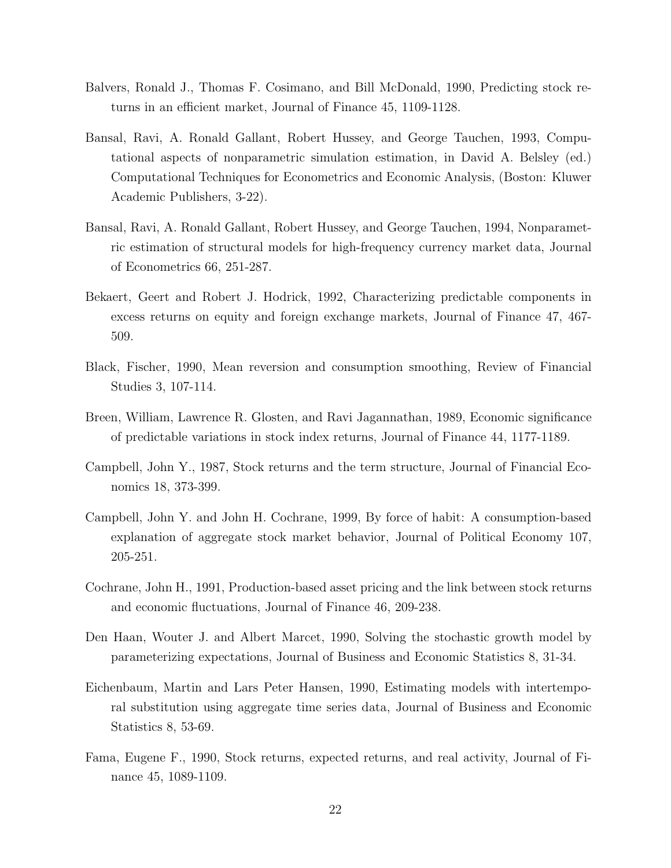- Balvers, Ronald J., Thomas F. Cosimano, and Bill McDonald, 1990, Predicting stock returns in an efficient market, Journal of Finance 45, 1109-1128.
- Bansal, Ravi, A. Ronald Gallant, Robert Hussey, and George Tauchen, 1993, Computational aspects of nonparametric simulation estimation, in David A. Belsley (ed.) Computational Techniques for Econometrics and Economic Analysis, (Boston: Kluwer Academic Publishers, 3-22).
- Bansal, Ravi, A. Ronald Gallant, Robert Hussey, and George Tauchen, 1994, Nonparametric estimation of structural models for high-frequency currency market data, Journal of Econometrics 66, 251-287.
- Bekaert, Geert and Robert J. Hodrick, 1992, Characterizing predictable components in excess returns on equity and foreign exchange markets, Journal of Finance 47, 467- 509.
- Black, Fischer, 1990, Mean reversion and consumption smoothing, Review of Financial Studies 3, 107-114.
- Breen, William, Lawrence R. Glosten, and Ravi Jagannathan, 1989, Economic significance of predictable variations in stock index returns, Journal of Finance 44, 1177-1189.
- Campbell, John Y., 1987, Stock returns and the term structure, Journal of Financial Economics 18, 373-399.
- Campbell, John Y. and John H. Cochrane, 1999, By force of habit: A consumption-based explanation of aggregate stock market behavior, Journal of Political Economy 107, 205-251.
- Cochrane, John H., 1991, Production-based asset pricing and the link between stock returns and economic fluctuations, Journal of Finance 46, 209-238.
- Den Haan, Wouter J. and Albert Marcet, 1990, Solving the stochastic growth model by parameterizing expectations, Journal of Business and Economic Statistics 8, 31-34.
- Eichenbaum, Martin and Lars Peter Hansen, 1990, Estimating models with intertemporal substitution using aggregate time series data, Journal of Business and Economic Statistics 8, 53-69.
- Fama, Eugene F., 1990, Stock returns, expected returns, and real activity, Journal of Finance 45, 1089-1109.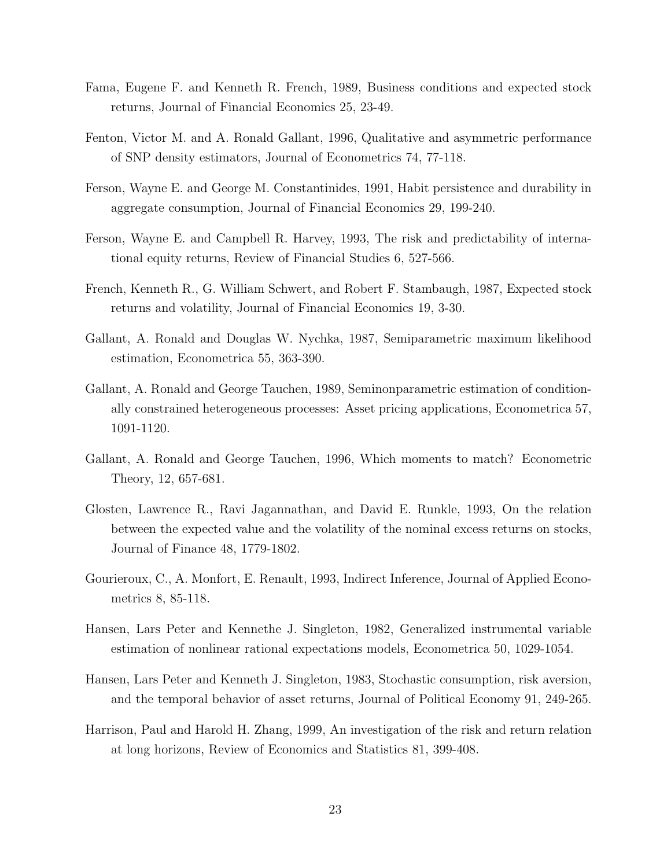- Fama, Eugene F. and Kenneth R. French, 1989, Business conditions and expected stock returns, Journal of Financial Economics 25, 23-49.
- Fenton, Victor M. and A. Ronald Gallant, 1996, Qualitative and asymmetric performance of SNP density estimators, Journal of Econometrics 74, 77-118.
- Ferson, Wayne E. and George M. Constantinides, 1991, Habit persistence and durability in aggregate consumption, Journal of Financial Economics 29, 199-240.
- Ferson, Wayne E. and Campbell R. Harvey, 1993, The risk and predictability of international equity returns, Review of Financial Studies 6, 527-566.
- French, Kenneth R., G. William Schwert, and Robert F. Stambaugh, 1987, Expected stock returns and volatility, Journal of Financial Economics 19, 3-30.
- Gallant, A. Ronald and Douglas W. Nychka, 1987, Semiparametric maximum likelihood estimation, Econometrica 55, 363-390.
- Gallant, A. Ronald and George Tauchen, 1989, Seminonparametric estimation of conditionally constrained heterogeneous processes: Asset pricing applications, Econometrica 57, 1091-1120.
- Gallant, A. Ronald and George Tauchen, 1996, Which moments to match? Econometric Theory, 12, 657-681.
- Glosten, Lawrence R., Ravi Jagannathan, and David E. Runkle, 1993, On the relation between the expected value and the volatility of the nominal excess returns on stocks, Journal of Finance 48, 1779-1802.
- Gourieroux, C., A. Monfort, E. Renault, 1993, Indirect Inference, Journal of Applied Econometrics 8, 85-118.
- Hansen, Lars Peter and Kennethe J. Singleton, 1982, Generalized instrumental variable estimation of nonlinear rational expectations models, Econometrica 50, 1029-1054.
- Hansen, Lars Peter and Kenneth J. Singleton, 1983, Stochastic consumption, risk aversion, and the temporal behavior of asset returns, Journal of Political Economy 91, 249-265.
- Harrison, Paul and Harold H. Zhang, 1999, An investigation of the risk and return relation at long horizons, Review of Economics and Statistics 81, 399-408.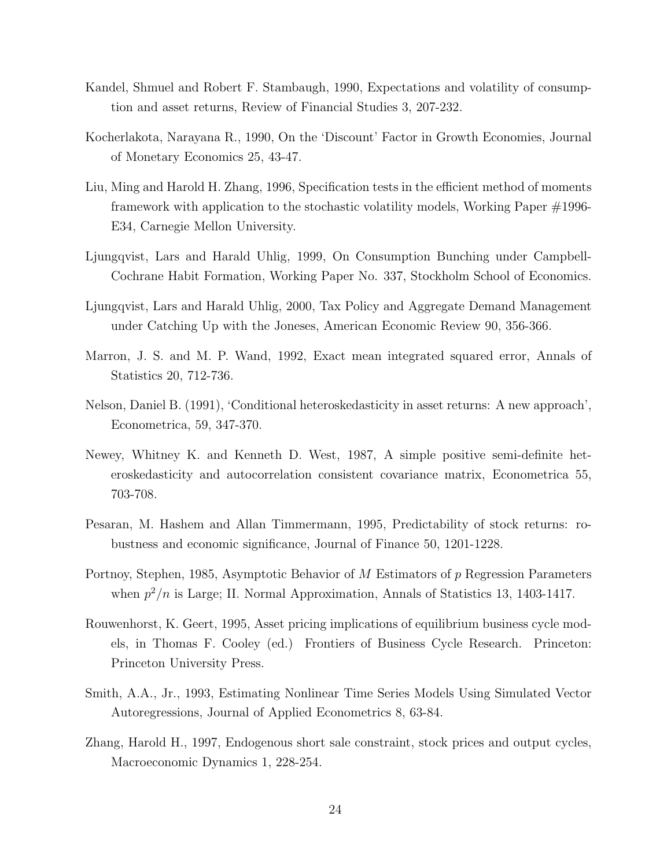- Kandel, Shmuel and Robert F. Stambaugh, 1990, Expectations and volatility of consumption and asset returns, Review of Financial Studies 3, 207-232.
- Kocherlakota, Narayana R., 1990, On the 'Discount' Factor in Growth Economies, Journal of Monetary Economics 25, 43-47.
- Liu, Ming and Harold H. Zhang, 1996, Specification tests in the efficient method of moments framework with application to the stochastic volatility models, Working Paper #1996- E34, Carnegie Mellon University.
- Ljungqvist, Lars and Harald Uhlig, 1999, On Consumption Bunching under Campbell-Cochrane Habit Formation, Working Paper No. 337, Stockholm School of Economics.
- Ljungqvist, Lars and Harald Uhlig, 2000, Tax Policy and Aggregate Demand Management under Catching Up with the Joneses, American Economic Review 90, 356-366.
- Marron, J. S. and M. P. Wand, 1992, Exact mean integrated squared error, Annals of Statistics 20, 712-736.
- Nelson, Daniel B. (1991), 'Conditional heteroskedasticity in asset returns: A new approach', Econometrica, 59, 347-370.
- Newey, Whitney K. and Kenneth D. West, 1987, A simple positive semi-definite heteroskedasticity and autocorrelation consistent covariance matrix, Econometrica 55, 703-708.
- Pesaran, M. Hashem and Allan Timmermann, 1995, Predictability of stock returns: robustness and economic significance, Journal of Finance 50, 1201-1228.
- Portnoy, Stephen, 1985, Asymptotic Behavior of M Estimators of p Regression Parameters when  $p^2/n$  is Large; II. Normal Approximation, Annals of Statistics 13, 1403-1417.
- Rouwenhorst, K. Geert, 1995, Asset pricing implications of equilibrium business cycle models, in Thomas F. Cooley (ed.) Frontiers of Business Cycle Research. Princeton: Princeton University Press.
- Smith, A.A., Jr., 1993, Estimating Nonlinear Time Series Models Using Simulated Vector Autoregressions, Journal of Applied Econometrics 8, 63-84.
- Zhang, Harold H., 1997, Endogenous short sale constraint, stock prices and output cycles, Macroeconomic Dynamics 1, 228-254.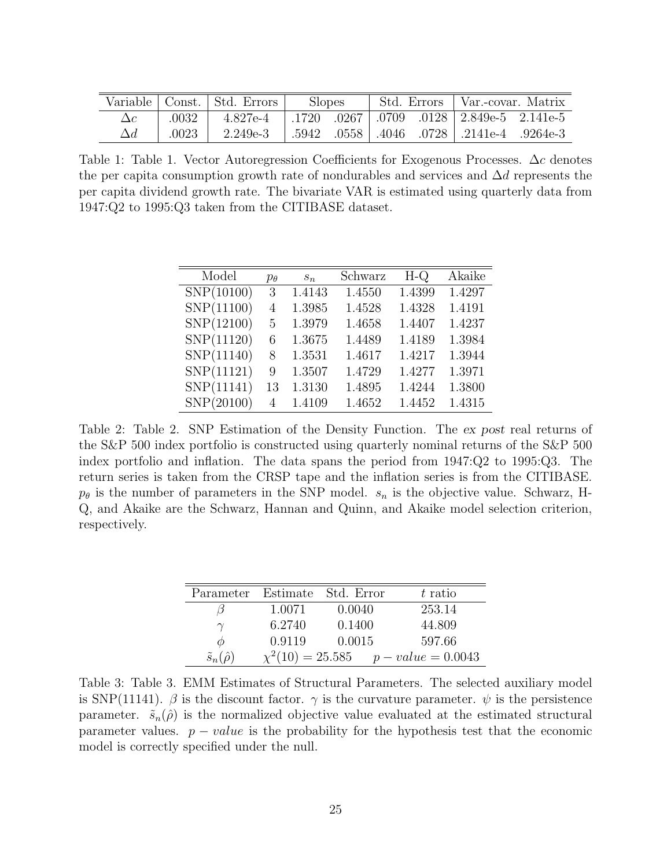|       | Variable   Const.   Std. Errors | <b>Slopes</b> | Std. Errors | Var.-covar. Matrix                                                           |  |
|-------|---------------------------------|---------------|-------------|------------------------------------------------------------------------------|--|
| .0032 | 4.827e-4                        |               |             | $.1720$ $.0267$   $.0709$ $.0128$   $2.849e-5$ $.2.141e-5$                   |  |
| .0023 | 2.249e-3                        |               |             | $\mid .5942 \quad .0558 \mid .4046 \quad .0728 \mid .2141e-4 \quad .9264e-3$ |  |

Table 1: Table 1. Vector Autoregression Coefficients for Exogenous Processes.  $\Delta c$  denotes the per capita consumption growth rate of nondurables and services and  $\Delta d$  represents the per capita dividend growth rate. The bivariate VAR is estimated using quarterly data from 1947:Q2 to 1995:Q3 taken from the CITIBASE dataset.

| Model      | $p_{\theta}$ | $s_n$  | Schwarz | $H-Q$  | Akaike |
|------------|--------------|--------|---------|--------|--------|
| SNP(10100) | 3            | 1.4143 | 1.4550  | 1.4399 | 1.4297 |
| SNP(11100) | 4            | 1.3985 | 1.4528  | 1.4328 | 1.4191 |
| SNP(12100) | 5            | 1.3979 | 1.4658  | 1.4407 | 1.4237 |
| SNP(11120) | 6            | 1.3675 | 1.4489  | 1.4189 | 1.3984 |
| SNP(11140) | 8            | 1.3531 | 1.4617  | 1.4217 | 1.3944 |
| SNP(11121) | 9            | 1.3507 | 1.4729  | 1.4277 | 1.3971 |
| SNP(11141) | 13           | 1.3130 | 1.4895  | 1.4244 | 1.3800 |
| SNP(20100) | 4            | 1.4109 | 1.4652  | 1.4452 | 1.4315 |

Table 2: Table 2. SNP Estimation of the Density Function. The ex post real returns of the S&P 500 index portfolio is constructed using quarterly nominal returns of the S&P 500 index portfolio and inflation. The data spans the period from 1947:Q2 to 1995:Q3. The return series is taken from the CRSP tape and the inflation series is from the CITIBASE.  $p_{\theta}$  is the number of parameters in the SNP model.  $s_n$  is the objective value. Schwarz, H-Q, and Akaike are the Schwarz, Hannan and Quinn, and Akaike model selection criterion, respectively.

|                           |        | Parameter Estimate Std. Error | $t$ ratio                                |
|---------------------------|--------|-------------------------------|------------------------------------------|
|                           | 1.0071 | 0.0040                        | 253.14                                   |
| $\gamma$                  | 6.2740 | 0.1400                        | 44.809                                   |
| Ø                         | 0.9119 | 0.0015                        | 597.66                                   |
| $\tilde{s}_n(\hat{\rho})$ |        |                               | $\chi^2(10) = 25.585$ $p-value = 0.0043$ |

Table 3: Table 3. EMM Estimates of Structural Parameters. The selected auxiliary model is SNP(11141).  $\beta$  is the discount factor.  $\gamma$  is the curvature parameter.  $\psi$  is the persistence parameter.  $\tilde{s}_n(\hat{\rho})$  is the normalized objective value evaluated at the estimated structural parameter values.  $p - value$  is the probability for the hypothesis test that the economic model is correctly specified under the null.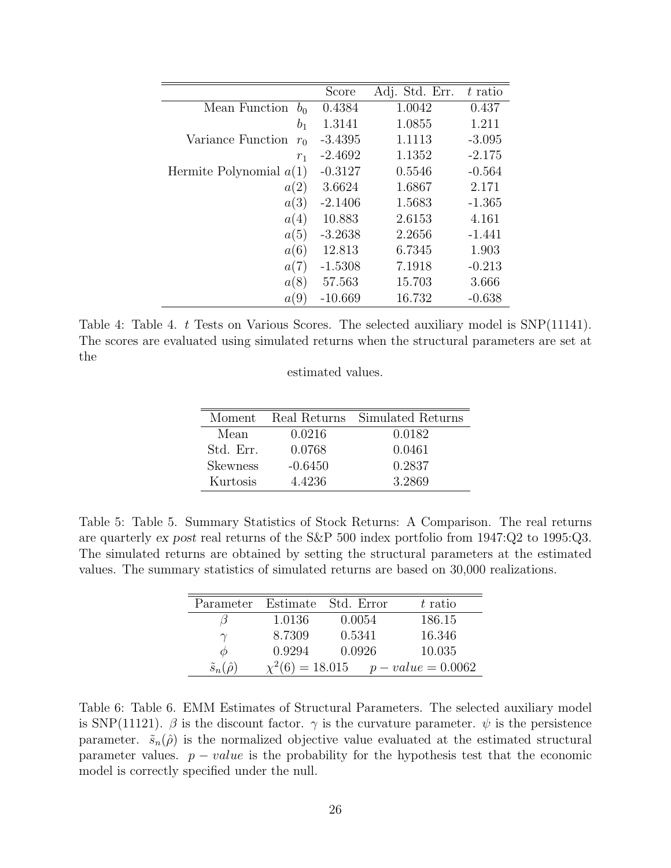|                                 | Score     | Adj. Std. Err. | t ratio  |
|---------------------------------|-----------|----------------|----------|
| Mean Function<br>b <sub>0</sub> | 0.4384    | 1.0042         | 0.437    |
| $b_1$                           | 1.3141    | 1.0855         | 1.211    |
| Variance Function<br>$r_0$      | $-3.4395$ | 1.1113         | $-3.095$ |
| $r_1$                           | $-2.4692$ | 1.1352         | $-2.175$ |
| Hermite Polynomial $a(1)$       | $-0.3127$ | 0.5546         | $-0.564$ |
| a(2)                            | 3.6624    | 1.6867         | 2.171    |
| a(3)                            | $-2.1406$ | 1.5683         | $-1.365$ |
| a(4)                            | 10.883    | 2.6153         | 4.161    |
| a(5)                            | $-3.2638$ | 2.2656         | $-1.441$ |
| a(6)                            | 12.813    | 6.7345         | 1.903    |
| a(7)                            | $-1.5308$ | 7.1918         | $-0.213$ |
| a(8)                            | 57.563    | 15.703         | 3.666    |
| a(9)                            | $-10.669$ | 16.732         | $-0.638$ |

Table 4: Table 4. t Tests on Various Scores. The selected auxiliary model is SNP(11141). The scores are evaluated using simulated returns when the structural parameters are set at the

|  | estimated values. |  |  |
|--|-------------------|--|--|
|--|-------------------|--|--|

| Moment          |           | Real Returns Simulated Returns |
|-----------------|-----------|--------------------------------|
| Mean            | 0.0216    | 0.0182                         |
| Std. Err.       | 0.0768    | 0.0461                         |
| <b>Skewness</b> | $-0.6450$ | 0.2837                         |
| Kurtosis        | 4.4236    | 3.2869                         |

Table 5: Table 5. Summary Statistics of Stock Returns: A Comparison. The real returns are quarterly ex post real returns of the S&P 500 index portfolio from 1947:Q2 to 1995:Q3. The simulated returns are obtained by setting the structural parameters at the estimated values. The summary statistics of simulated returns are based on 30,000 realizations.

| Parameter                 |                      | Estimate Std. Error | $t$ ratio          |
|---------------------------|----------------------|---------------------|--------------------|
|                           | 1.0136               | 0.0054              | 186.15             |
|                           | 8.7309               | 0.5341              | 16.346             |
| ⋒                         | 0.9294               | 0.0926              | 10.035             |
| $\tilde{s}_n(\hat{\rho})$ | $\chi^2(6) = 18.015$ |                     | $p-value = 0.0062$ |

Table 6: Table 6. EMM Estimates of Structural Parameters. The selected auxiliary model is SNP(11121).  $\beta$  is the discount factor.  $\gamma$  is the curvature parameter.  $\psi$  is the persistence parameter.  $\tilde{s}_n(\hat{\rho})$  is the normalized objective value evaluated at the estimated structural parameter values.  $p-value$  is the probability for the hypothesis test that the economic model is correctly specified under the null.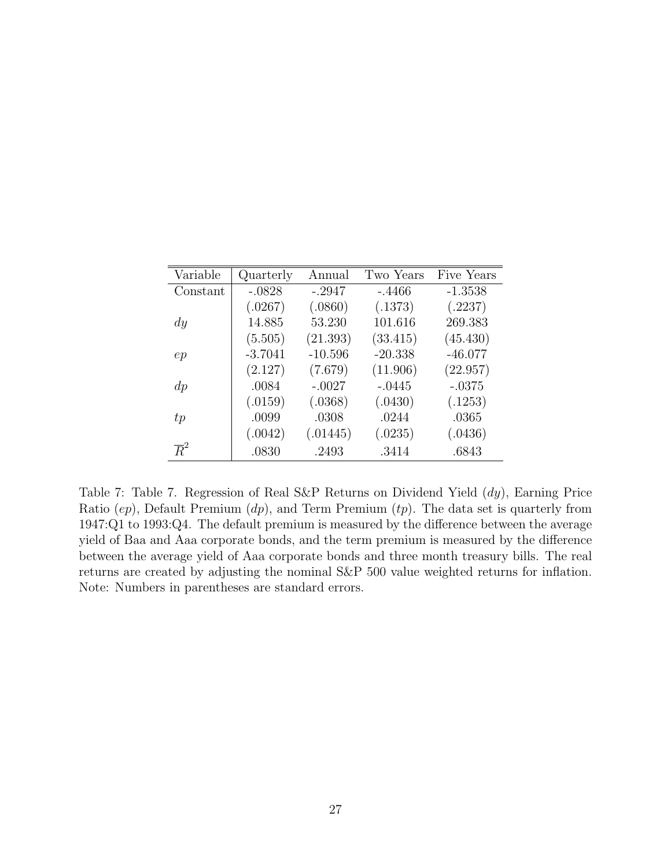| Variable         | Quarterly | Annual    | Two Years | Five Years |
|------------------|-----------|-----------|-----------|------------|
| Constant         | $-.0828$  | $-.2947$  | $-.4466$  | $-1.3538$  |
|                  | (.0267)   | (.0860)   | (.1373)   | (.2237)    |
| $\,dy$           | 14.885    | 53.230    | 101.616   | 269.383    |
|                  | (5.505)   | (21.393)  | (33.415)  | (45.430)   |
| ep               | $-3.7041$ | $-10.596$ | $-20.338$ | $-46.077$  |
|                  | (2.127)   | (7.679)   | (11.906)  | (22.957)   |
| $\,dp$           | .0084     | $-.0027$  | $-.0445$  | $-.0375$   |
|                  | (.0159)   | (.0368)   | (.0430)   | (.1253)    |
| tp               | .0099     | .0308     | .0244     | .0365      |
|                  | (.0042)   | (.01445)  | (.0235)   | (.0436)    |
| $\overline{R}^2$ | .0830     | .2493     | .3414     | .6843      |

Table 7: Table 7. Regression of Real S&P Returns on Dividend Yield (dy), Earning Price Ratio  $(ep)$ , Default Premium  $(dp)$ , and Term Premium  $(tp)$ . The data set is quarterly from 1947:Q1 to 1993:Q4. The default premium is measured by the difference between the average yield of Baa and Aaa corporate bonds, and the term premium is measured by the difference between the average yield of Aaa corporate bonds and three month treasury bills. The real returns are created by adjusting the nominal S&P 500 value weighted returns for inflation. Note: Numbers in parentheses are standard errors.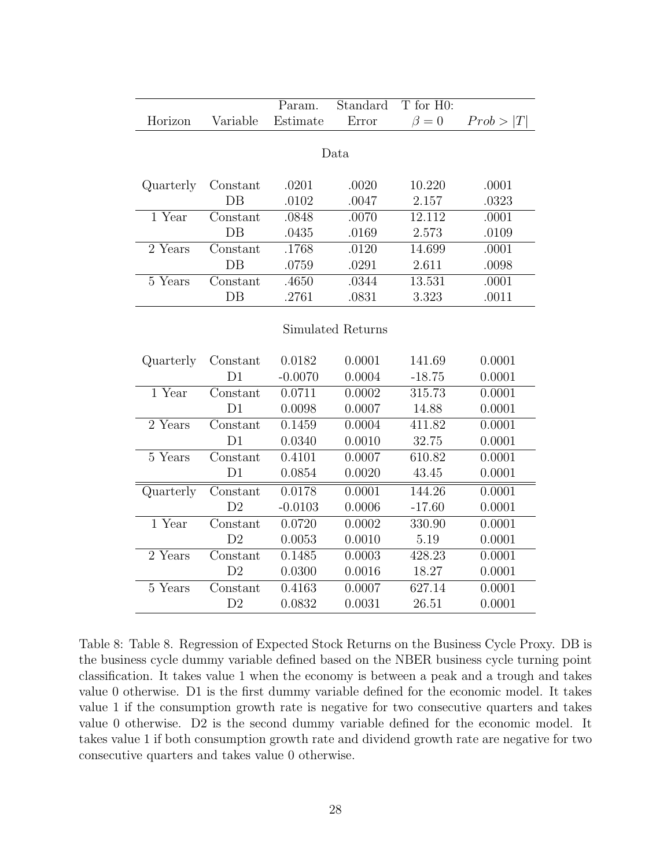|           |                | Param.    | Standard          | T for H0:   |           |  |
|-----------|----------------|-----------|-------------------|-------------|-----------|--|
| Horizon   | Variable       | Estimate  | Error             | $\beta = 0$ | Prob >  T |  |
|           |                |           |                   |             |           |  |
| Data      |                |           |                   |             |           |  |
|           |                |           |                   |             |           |  |
| Quarterly | Constant       | .0201     | .0020             | 10.220      | .0001     |  |
|           | $DB$           | .0102     | .0047             | 2.157       | .0323     |  |
| 1 Year    | Constant       | .0848     | .0070             | 12.112      | .0001     |  |
|           | $DB$           | .0435     | .0169             | 2.573       | .0109     |  |
| 2 Years   | Constant       | .1768     | .0120             | 14.699      | .0001     |  |
|           | $DB$           | .0759     | .0291             | 2.611       | .0098     |  |
| 5 Years   | Constant       | .4650     | .0344             | 13.531      | .0001     |  |
|           | $DB$           | .2761     | .0831             | 3.323       | .0011     |  |
|           |                |           |                   |             |           |  |
|           |                |           | Simulated Returns |             |           |  |
|           |                |           |                   |             |           |  |
| Quarterly | Constant       | 0.0182    | 0.0001            | 141.69      | 0.0001    |  |
|           | D1             | $-0.0070$ | 0.0004            | $-18.75$    | 0.0001    |  |
| 1 Year    | Constant       | 0.0711    | 0.0002            | 315.73      | 0.0001    |  |
|           | D1             | 0.0098    | 0.0007            | 14.88       | 0.0001    |  |
| 2 Years   | Constant       | 0.1459    | 0.0004            | 411.82      | 0.0001    |  |
|           | D1             | 0.0340    | 0.0010            | 32.75       | 0.0001    |  |
| 5 Years   | Constant       | 0.4101    | 0.0007            | 610.82      | 0.0001    |  |
|           | D1             | 0.0854    | 0.0020            | 43.45       | 0.0001    |  |
| Quarterly | Constant       | 0.0178    | 0.0001            | 144.26      | 0.0001    |  |
|           | D <sub>2</sub> | $-0.0103$ | 0.0006            | $-17.60$    | 0.0001    |  |
| $1$ Year  | Constant       | 0.0720    | 0.0002            | 330.90      | 0.0001    |  |
|           | D <sub>2</sub> | 0.0053    | 0.0010            | 5.19        | 0.0001    |  |
| 2 Years   | Constant       | 0.1485    | 0.0003            | 428.23      | 0.0001    |  |
|           | D <sub>2</sub> | 0.0300    | 0.0016            | 18.27       | 0.0001    |  |
| 5 Years   | Constant       | 0.4163    | 0.0007            | 627.14      | 0.0001    |  |
|           | D <sub>2</sub> | 0.0832    | 0.0031            | 26.51       | 0.0001    |  |

Table 8: Table 8. Regression of Expected Stock Returns on the Business Cycle Proxy. DB is the business cycle dummy variable defined based on the NBER business cycle turning point classification. It takes value 1 when the economy is between a peak and a trough and takes value 0 otherwise. D1 is the first dummy variable defined for the economic model. It takes value 1 if the consumption growth rate is negative for two consecutive quarters and takes value 0 otherwise. D2 is the second dummy variable defined for the economic model. It takes value 1 if both consumption growth rate and dividend growth rate are negative for two consecutive quarters and takes value 0 otherwise.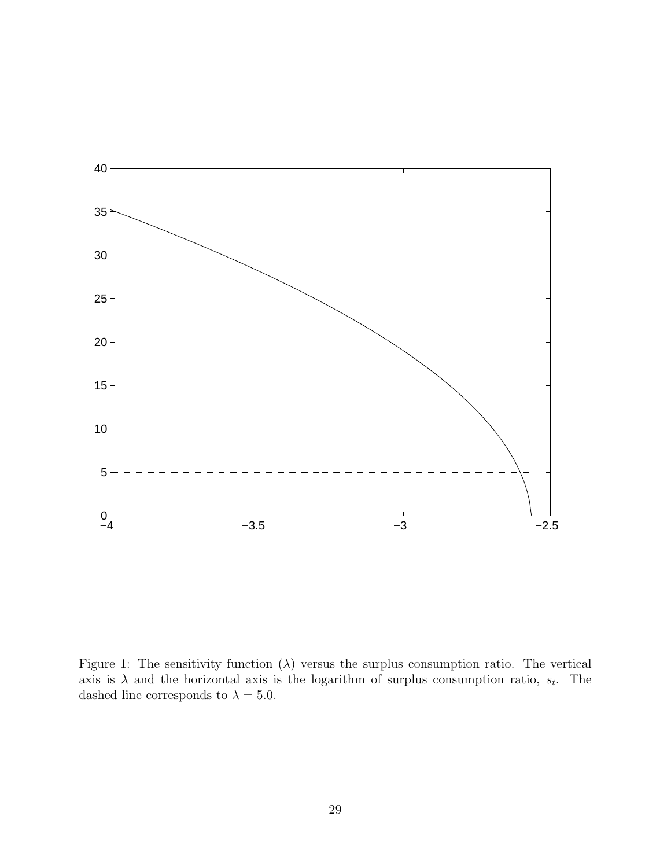

Figure 1: The sensitivity function  $(\lambda)$  versus the surplus consumption ratio. The vertical axis is  $\lambda$  and the horizontal axis is the logarithm of surplus consumption ratio,  $s_t$ . The dashed line corresponds to  $\lambda = 5.0$ .